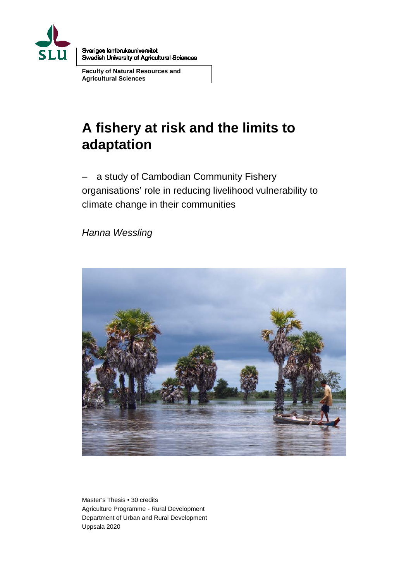

Sveriges lantbruksuniversitet Swedish University of Agricultural Sciences

**Faculty of Natural Resources and Agricultural Sciences**

# **A fishery at risk and the limits to adaptation**

– a study of Cambodian Community Fishery organisations' role in reducing livelihood vulnerability to climate change in their communities

*Hanna Wessling*



Master's Thesis • 30 credits Agriculture Programme - Rural Development Department of Urban and Rural Development Uppsala 2020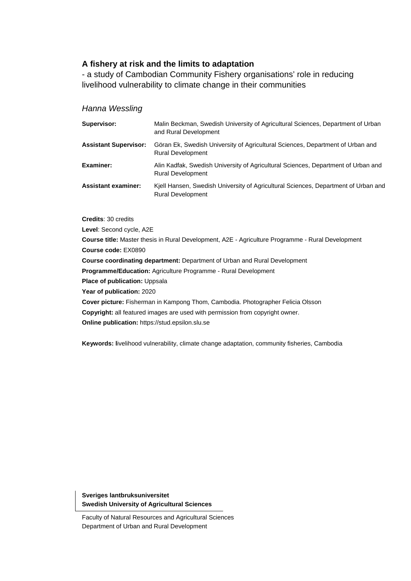#### **A fishery at risk and the limits to adaptation**

- a study of Cambodian Community Fishery organisations' role in reducing livelihood vulnerability to climate change in their communities

#### *Hanna Wessling*

| Supervisor:                  | Malin Beckman, Swedish University of Agricultural Sciences, Department of Urban<br>and Rural Development       |
|------------------------------|----------------------------------------------------------------------------------------------------------------|
| <b>Assistant Supervisor:</b> | Göran Ek, Swedish University of Agricultural Sciences, Department of Urban and<br><b>Rural Development</b>     |
| <b>Examiner:</b>             | Alin Kadfak, Swedish University of Agricultural Sciences, Department of Urban and<br><b>Rural Development</b>  |
| <b>Assistant examiner:</b>   | Kjell Hansen, Swedish University of Agricultural Sciences, Department of Urban and<br><b>Rural Development</b> |

**Credits**: 30 credits

**Level**: Second cycle, A2E

**Course title:** Master thesis in Rural Development, A2E - Agriculture Programme - Rural Development **Course code:** EX0890 **Course coordinating department:** Department of Urban and Rural Development **Programme/Education:** Agriculture Programme - Rural Development **Place of publication:** Uppsala **Year of publication:** 2020 **Cover picture:** Fisherman in Kampong Thom, Cambodia. Photographer Felicia Olsson **Copyright:** all featured images are used with permission from copyright owner. **Online publication:** https://stud.epsilon.slu.se

**Keywords: l**ivelihood vulnerability, climate change adaptation, community fisheries, Cambodia

**Sveriges lantbruksuniversitet Swedish University of Agricultural Sciences**

Faculty of Natural Resources and Agricultural Sciences Department of Urban and Rural Development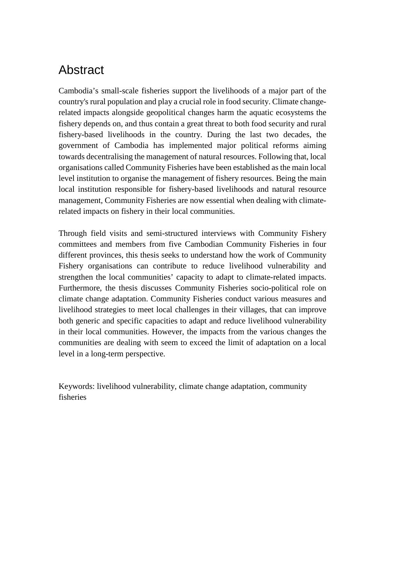# <span id="page-2-0"></span>Abstract

Cambodia's small-scale fisheries support the livelihoods of a major part of the country's rural population and play a crucial role in food security. Climate changerelated impacts alongside geopolitical changes harm the aquatic ecosystems the fishery depends on, and thus contain a great threat to both food security and rural fishery-based livelihoods in the country. During the last two decades, the government of Cambodia has implemented major political reforms aiming towards decentralising the management of natural resources. Following that, local organisations called Community Fisheries have been established as the main local level institution to organise the management of fishery resources. Being the main local institution responsible for fishery-based livelihoods and natural resource management, Community Fisheries are now essential when dealing with climaterelated impacts on fishery in their local communities.

Through field visits and semi-structured interviews with Community Fishery committees and members from five Cambodian Community Fisheries in four different provinces, this thesis seeks to understand how the work of Community Fishery organisations can contribute to reduce livelihood vulnerability and strengthen the local communities' capacity to adapt to climate-related impacts. Furthermore, the thesis discusses Community Fisheries socio-political role on climate change adaptation. Community Fisheries conduct various measures and livelihood strategies to meet local challenges in their villages, that can improve both generic and specific capacities to adapt and reduce livelihood vulnerability in their local communities. However, the impacts from the various changes the communities are dealing with seem to exceed the limit of adaptation on a local level in a long-term perspective.

Keywords: livelihood vulnerability, climate change adaptation, community fisheries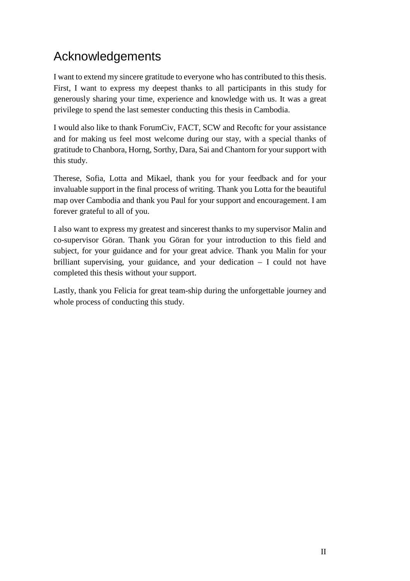# <span id="page-3-0"></span>Acknowledgements

I want to extend my sincere gratitude to everyone who has contributed to this thesis. First, I want to express my deepest thanks to all participants in this study for generously sharing your time, experience and knowledge with us. It was a great privilege to spend the last semester conducting this thesis in Cambodia.

I would also like to thank ForumCiv, FACT, SCW and Recoftc for your assistance and for making us feel most welcome during our stay, with a special thanks of gratitude to Chanbora, Horng, Sorthy, Dara, Sai and Chantorn for your support with this study.

Therese, Sofia, Lotta and Mikael, thank you for your feedback and for your invaluable support in the final process of writing. Thank you Lotta for the beautiful map over Cambodia and thank you Paul for your support and encouragement. I am forever grateful to all of you.

I also want to express my greatest and sincerest thanks to my supervisor Malin and co-supervisor Göran. Thank you Göran for your introduction to this field and subject, for your guidance and for your great advice. Thank you Malin for your brilliant supervising, your guidance, and your dedication – I could not have completed this thesis without your support.

Lastly, thank you Felicia for great team-ship during the unforgettable journey and whole process of conducting this study.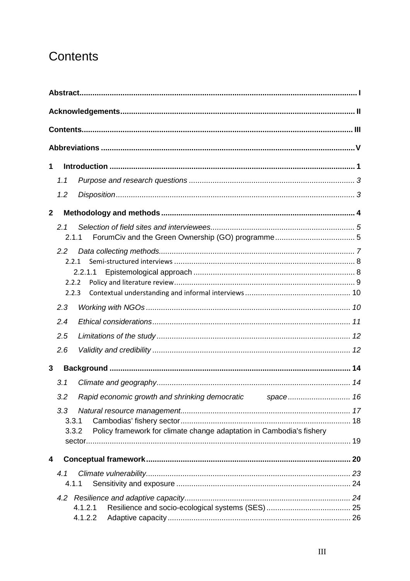# <span id="page-4-0"></span>Contents

| 1            |                |                                                                      |  |  |
|--------------|----------------|----------------------------------------------------------------------|--|--|
|              | 1.1            |                                                                      |  |  |
|              | 1.2            |                                                                      |  |  |
| $\mathbf{2}$ |                |                                                                      |  |  |
|              | 2.1<br>2.1.1   |                                                                      |  |  |
|              | $2.2^{\circ}$  |                                                                      |  |  |
|              | 2.2.1          |                                                                      |  |  |
|              | 2.2.2          | 2.2.1.1                                                              |  |  |
|              | 2.2.3          |                                                                      |  |  |
|              | 2.3            |                                                                      |  |  |
|              | 2.4            |                                                                      |  |  |
|              | 2.5            |                                                                      |  |  |
|              | 2.6            |                                                                      |  |  |
| 3            |                |                                                                      |  |  |
|              | 3.1            |                                                                      |  |  |
|              | 3.2            |                                                                      |  |  |
|              | 3.3            |                                                                      |  |  |
|              | 3.3.1<br>3.3.2 | Policy framework for climate change adaptation in Cambodia's fishery |  |  |
|              |                |                                                                      |  |  |
| 4            |                |                                                                      |  |  |
|              | 4.1            |                                                                      |  |  |
|              | 4.1.1          |                                                                      |  |  |
|              |                |                                                                      |  |  |
|              |                | 4.1.2.1<br>4.1.2.2                                                   |  |  |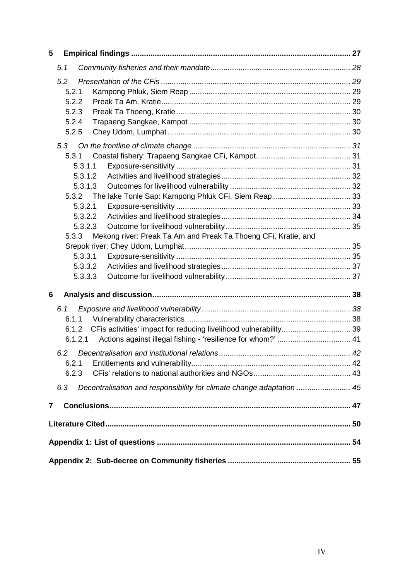| 5 |                                                                              |  |  |  |  |
|---|------------------------------------------------------------------------------|--|--|--|--|
|   | 5.1                                                                          |  |  |  |  |
|   | 5.2                                                                          |  |  |  |  |
|   | 5.2.1                                                                        |  |  |  |  |
|   | 5.2.2                                                                        |  |  |  |  |
|   | 5.2.3                                                                        |  |  |  |  |
|   | 5.2.4                                                                        |  |  |  |  |
|   | 5.2.5                                                                        |  |  |  |  |
|   | 5.3                                                                          |  |  |  |  |
|   | 5.3.1                                                                        |  |  |  |  |
|   | 5.3.1.1                                                                      |  |  |  |  |
|   | 5.3.1.2                                                                      |  |  |  |  |
|   | 5.3.1.3                                                                      |  |  |  |  |
|   | 5.3.2                                                                        |  |  |  |  |
|   | 5.3.2.1                                                                      |  |  |  |  |
|   | 5.3.2.2                                                                      |  |  |  |  |
|   | 5.3.2.3                                                                      |  |  |  |  |
|   | Mekong river: Preak Ta Am and Preak Ta Thoeng CFi, Kratie, and<br>5.3.3      |  |  |  |  |
|   |                                                                              |  |  |  |  |
|   | 5.3.3.1                                                                      |  |  |  |  |
|   | 5.3.3.2<br>5.3.3.3                                                           |  |  |  |  |
|   |                                                                              |  |  |  |  |
| 6 |                                                                              |  |  |  |  |
|   | 6.1                                                                          |  |  |  |  |
|   | 6.1.1                                                                        |  |  |  |  |
|   | 6.1.2                                                                        |  |  |  |  |
|   | 6.1.2.1                                                                      |  |  |  |  |
|   | 6.2                                                                          |  |  |  |  |
|   | 6.2.1                                                                        |  |  |  |  |
|   | 6.2.3                                                                        |  |  |  |  |
|   | 6.3<br>Decentralisation and responsibility for climate change adaptation  45 |  |  |  |  |
| 7 |                                                                              |  |  |  |  |
|   |                                                                              |  |  |  |  |
|   |                                                                              |  |  |  |  |
|   |                                                                              |  |  |  |  |
|   |                                                                              |  |  |  |  |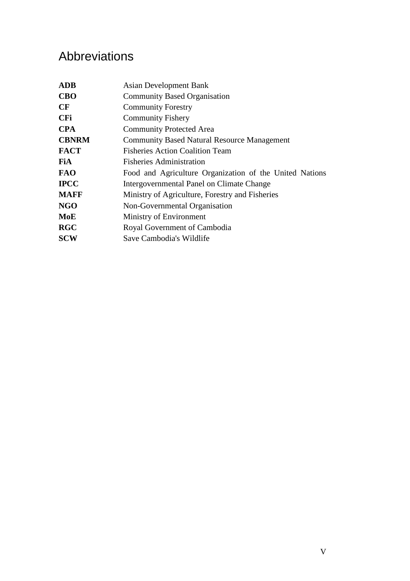# <span id="page-6-0"></span>Abbreviations

| <b>ADB</b>   | <b>Asian Development Bank</b>                           |  |  |  |
|--------------|---------------------------------------------------------|--|--|--|
| <b>CBO</b>   | <b>Community Based Organisation</b>                     |  |  |  |
| CF           | <b>Community Forestry</b>                               |  |  |  |
| <b>CFi</b>   | <b>Community Fishery</b>                                |  |  |  |
| <b>CPA</b>   | <b>Community Protected Area</b>                         |  |  |  |
| <b>CBNRM</b> | <b>Community Based Natural Resource Management</b>      |  |  |  |
| <b>FACT</b>  | <b>Fisheries Action Coalition Team</b>                  |  |  |  |
| <b>FiA</b>   | <b>Fisheries Administration</b>                         |  |  |  |
| <b>FAO</b>   | Food and Agriculture Organization of the United Nations |  |  |  |
| <b>IPCC</b>  | Intergovernmental Panel on Climate Change               |  |  |  |
| <b>MAFF</b>  | Ministry of Agriculture, Forestry and Fisheries         |  |  |  |
| NGO          | Non-Governmental Organisation                           |  |  |  |
| MoE          | Ministry of Environment                                 |  |  |  |
| <b>RGC</b>   | Royal Government of Cambodia                            |  |  |  |
| <b>SCW</b>   | Save Cambodia's Wildlife                                |  |  |  |
|              |                                                         |  |  |  |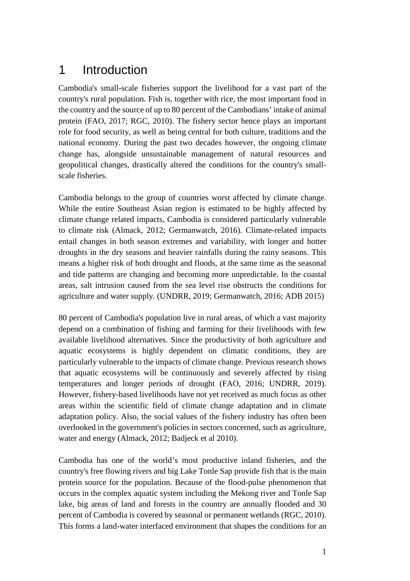# <span id="page-7-0"></span>1 Introduction

Cambodia's small-scale fisheries support the livelihood for a vast part of the country's rural population. Fish is, together with rice, the most important food in the country and the source of up to 80 percent of the Cambodians' intake of animal protein (FAO, 2017; RGC, 2010). The fishery sector hence plays an important role for food security, as well as being central for both culture, traditions and the national economy. During the past two decades however, the ongoing climate change has, alongside unsustainable management of natural resources and geopolitical changes, drastically altered the conditions for the country's smallscale fisheries.

Cambodia belongs to the group of countries worst affected by climate change. While the entire Southeast Asian region is estimated to be highly affected by climate change related impacts, Cambodia is considered particularly vulnerable to climate risk (Almack, 2012; Germanwatch, 2016). Climate-related impacts entail changes in both season extremes and variability, with longer and hotter droughts in the dry seasons and heavier rainfalls during the rainy seasons. This means a higher risk of both drought and floods, at the same time as the seasonal and tide patterns are changing and becoming more unpredictable. In the coastal areas, salt intrusion caused from the sea level rise obstructs the conditions for agriculture and water supply. (UNDRR, 2019; Germanwatch, 2016; ADB 2015)

80 percent of Cambodia's population live in rural areas, of which a vast majority depend on a combination of fishing and farming for their livelihoods with few available livelihood alternatives. Since the productivity of both agriculture and aquatic ecosystems is highly dependent on climatic conditions, they are particularly vulnerable to the impacts of climate change. Previous research shows that aquatic ecosystems will be continuously and severely affected by rising temperatures and longer periods of drought (FAO, 2016; UNDRR, 2019). However, fishery-based livelihoods have not yet received as much focus as other areas within the scientific field of climate change adaptation and in climate adaptation policy. Also, the social values of the fishery industry has often been overlooked in the government's policies in sectors concerned, such as agriculture, water and energy (Almack, 2012; Badjeck et al 2010).

Cambodia has one of the world's most productive inland fisheries, and the country's free flowing rivers and big Lake Tonle Sap provide fish that is the main protein source for the population. Because of the flood-pulse phenomenon that occurs in the complex aquatic system including the Mekong river and Tonle Sap lake, big areas of land and forests in the country are annually flooded and 30 percent of Cambodia is covered by seasonal or permanent wetlands (RGC, 2010). This forms a land-water interfaced environment that shapes the conditions for an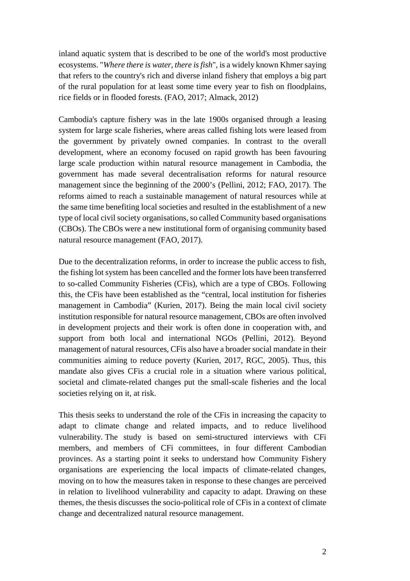inland aquatic system that is described to be one of the world's most productive ecosystems. "*Where there is water, there is fish*", is a widely known Khmer saying that refers to the country's rich and diverse inland fishery that employs a big part of the rural population for at least some time every year to fish on floodplains, rice fields or in flooded forests. (FAO, 2017; Almack, 2012)

Cambodia's capture fishery was in the late 1900s organised through a leasing system for large scale fisheries, where areas called fishing lots were leased from the government by privately owned companies. In contrast to the overall development, where an economy focused on rapid growth has been favouring large scale production within natural resource management in Cambodia, the government has made several decentralisation reforms for natural resource management since the beginning of the 2000's (Pellini, 2012; FAO, 2017). The reforms aimed to reach a sustainable management of natural resources while at the same time benefiting local societies and resulted in the establishment of a new type of local civil society organisations, so called Community based organisations (CBOs). The CBOs were a new institutional form of organising community based natural resource management (FAO, 2017).

Due to the decentralization reforms, in order to increase the public access to fish, the fishing lot system has been cancelled and the former lots have been transferred to so-called Community Fisheries (CFis), which are a type of CBOs. Following this, the CFis have been established as the "central, local institution for fisheries management in Cambodia" (Kurien, 2017). Being the main local civil society institution responsible for natural resource management, CBOs are often involved in development projects and their work is often done in cooperation with, and support from both local and international NGOs (Pellini, 2012). Beyond management of natural resources, CFis also have a broader social mandate in their communities aiming to reduce poverty (Kurien, 2017, RGC, 2005). Thus, this mandate also gives CFis a crucial role in a situation where various political, societal and climate-related changes put the small-scale fisheries and the local societies relying on it, at risk.

This thesis seeks to understand the role of the CFis in increasing the capacity to adapt to climate change and related impacts, and to reduce livelihood vulnerability. The study is based on semi-structured interviews with CFi members, and members of CFi committees, in four different Cambodian provinces. As a starting point it seeks to understand how Community Fishery organisations are experiencing the local impacts of climate-related changes, moving on to how the measures taken in response to these changes are perceived in relation to livelihood vulnerability and capacity to adapt. Drawing on these themes, the thesis discusses the socio-political role of CFis in a context of climate change and decentralized natural resource management.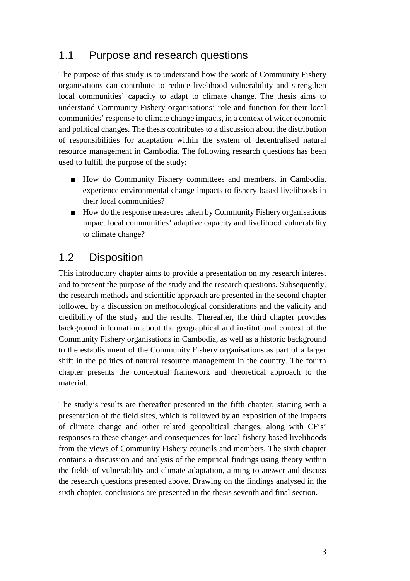## <span id="page-9-0"></span>1.1 Purpose and research questions

The purpose of this study is to understand how the work of Community Fishery organisations can contribute to reduce livelihood vulnerability and strengthen local communities' capacity to adapt to climate change. The thesis aims to understand Community Fishery organisations' role and function for their local communities' response to climate change impacts, in a context of wider economic and political changes. The thesis contributes to a discussion about the distribution of responsibilities for adaptation within the system of decentralised natural resource management in Cambodia. The following research questions has been used to fulfill the purpose of the study:

- How do Community Fishery committees and members, in Cambodia, experience environmental change impacts to fishery-based livelihoods in their local communities?
- How do the response measures taken by Community Fishery organisations impact local communities' adaptive capacity and livelihood vulnerability to climate change?

## <span id="page-9-1"></span>1.2 Disposition

This introductory chapter aims to provide a presentation on my research interest and to present the purpose of the study and the research questions. Subsequently, the research methods and scientific approach are presented in the second chapter followed by a discussion on methodological considerations and the validity and credibility of the study and the results. Thereafter, the third chapter provides background information about the geographical and institutional context of the Community Fishery organisations in Cambodia, as well as a historic background to the establishment of the Community Fishery organisations as part of a larger shift in the politics of natural resource management in the country. The fourth chapter presents the conceptual framework and theoretical approach to the material.

The study's results are thereafter presented in the fifth chapter; starting with a presentation of the field sites, which is followed by an exposition of the impacts of climate change and other related geopolitical changes, along with CFis' responses to these changes and consequences for local fishery-based livelihoods from the views of Community Fishery councils and members. The sixth chapter contains a discussion and analysis of the empirical findings using theory within the fields of vulnerability and climate adaptation, aiming to answer and discuss the research questions presented above. Drawing on the findings analysed in the sixth chapter, conclusions are presented in the thesis seventh and final section.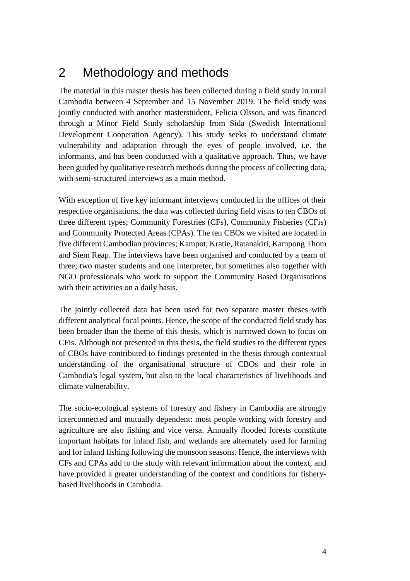# <span id="page-10-0"></span>2 Methodology and methods

The material in this master thesis has been collected during a field study in rural Cambodia between 4 September and 15 November 2019. The field study was jointly conducted with another masterstudent, Felicia Olsson, and was financed through a Minor Field Study scholarship from Sida (Swedish International Development Cooperation Agency). This study seeks to understand climate vulnerability and adaptation through the eyes of people involved, i.e. the informants, and has been conducted with a qualitative approach. Thus, we have been guided by qualitative research methods during the process of collecting data, with semi-structured interviews as a main method.

With exception of five key informant interviews conducted in the offices of their respective organisations, the data was collected during field visits to ten CBOs of three different types; Community Forestries (CFs), Community Fisheries (CFis) and Community Protected Areas (CPAs). The ten CBOs we visited are located in five different Cambodian provinces; Kampot, Kratie, Ratanakiri, Kampong Thom and Siem Reap. The interviews have been organised and conducted by a team of three; two master students and one interpreter, but sometimes also together with NGO professionals who work to support the Community Based Organisations with their activities on a daily basis.

The jointly collected data has been used for two separate master theses with different analytical focal points. Hence, the scope of the conducted field study has been broader than the theme of this thesis, which is narrowed down to focus on CFis. Although not presented in this thesis, the field studies to the different types of CBOs have contributed to findings presented in the thesis through contextual understanding of the organisational structure of CBOs and their role in Cambodia's legal system, but also to the local characteristics of livelihoods and climate vulnerability.

The socio-ecological systems of forestry and fishery in Cambodia are strongly interconnected and mutually dependent: most people working with forestry and agriculture are also fishing and vice versa. Annually flooded forests constitute important habitats for inland fish, and wetlands are alternately used for farming and for inland fishing following the monsoon seasons. Hence, the interviews with CFs and CPAs add to the study with relevant information about the context, and have provided a greater understanding of the context and conditions for fisherybased livelihoods in Cambodia.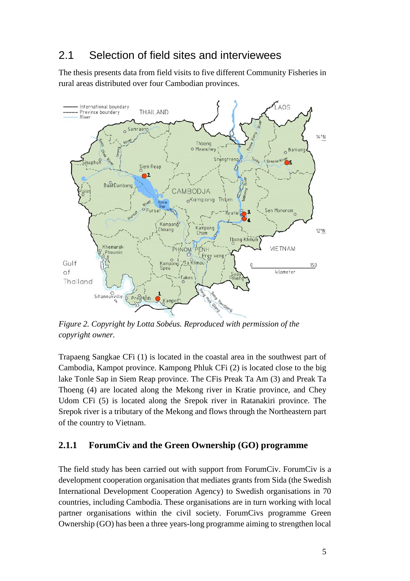## <span id="page-11-0"></span>2.1 Selection of field sites and interviewees

The thesis presents data from field visits to five different Community Fisheries in rural areas distributed over four Cambodian provinces.



*Figure 2. Copyright by Lotta Sobéus. Reproduced with permission of the copyright owner.*

Trapaeng Sangkae CFi (1) is located in the coastal area in the southwest part of Cambodia, Kampot province. Kampong Phluk CFi (2) is located close to the big lake Tonle Sap in Siem Reap province. The CFis Preak Ta Am (3) and Preak Ta Thoeng (4) are located along the Mekong river in Kratie province, and Chey Udom CFi (5) is located along the Srepok river in Ratanakiri province. The Srepok river is a tributary of the Mekong and flows through the Northeastern part of the country to Vietnam.

#### <span id="page-11-1"></span>**2.1.1 ForumCiv and the Green Ownership (GO) programme**

The field study has been carried out with support from ForumCiv. ForumCiv is a development cooperation organisation that mediates grants from Sida (the Swedish International Development Cooperation Agency) to Swedish organisations in 70 countries, including Cambodia. These organisations are in turn working with local partner organisations within the civil society. ForumCivs programme Green Ownership (GO) has been a three years-long programme aiming to strengthen local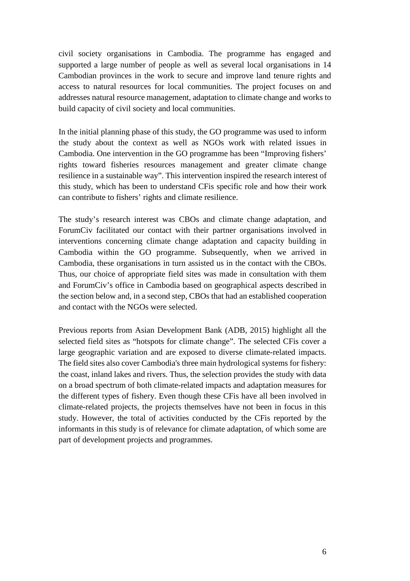civil society organisations in Cambodia. The programme has engaged and supported a large number of people as well as several local organisations in 14 Cambodian provinces in the work to secure and improve land tenure rights and access to natural resources for local communities. The project focuses on and addresses natural resource management, adaptation to climate change and works to build capacity of civil society and local communities.

In the initial planning phase of this study, the GO programme was used to inform the study about the context as well as NGOs work with related issues in Cambodia. One intervention in the GO programme has been "Improving fishers' rights toward fisheries resources management and greater climate change resilience in a sustainable way". This intervention inspired the research interest of this study, which has been to understand CFis specific role and how their work can contribute to fishers' rights and climate resilience.

The study's research interest was CBOs and climate change adaptation, and ForumCiv facilitated our contact with their partner organisations involved in interventions concerning climate change adaptation and capacity building in Cambodia within the GO programme. Subsequently, when we arrived in Cambodia, these organisations in turn assisted us in the contact with the CBOs. Thus, our choice of appropriate field sites was made in consultation with them and ForumCiv's office in Cambodia based on geographical aspects described in the section below and, in a second step, CBOs that had an established cooperation and contact with the NGOs were selected.

Previous reports from Asian Development Bank (ADB, 2015) highlight all the selected field sites as "hotspots for climate change". The selected CFis cover a large geographic variation and are exposed to diverse climate-related impacts. The field sites also cover Cambodia's three main hydrological systems for fishery: the coast, inland lakes and rivers. Thus, the selection provides the study with data on a broad spectrum of both climate-related impacts and adaptation measures for the different types of fishery. Even though these CFis have all been involved in climate-related projects, the projects themselves have not been in focus in this study. However, the total of activities conducted by the CFis reported by the informants in this study is of relevance for climate adaptation, of which some are part of development projects and programmes.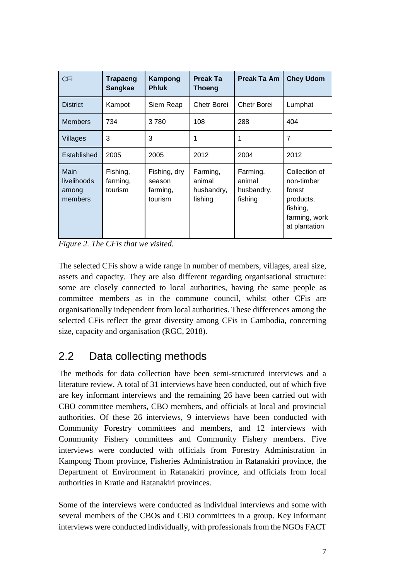| <b>CFi</b>                              | Trapaeng<br><b>Sangkae</b>      | Kampong<br><b>Phluk</b>                       | <b>Preak Ta</b><br><b>Thoeng</b>            | <b>Preak Ta Am</b>                          | <b>Chey Udom</b>                                                                                 |
|-----------------------------------------|---------------------------------|-----------------------------------------------|---------------------------------------------|---------------------------------------------|--------------------------------------------------------------------------------------------------|
| <b>District</b>                         | Kampot                          | Siem Reap                                     | Chetr Borei                                 | Chetr Borei                                 | Lumphat                                                                                          |
| <b>Members</b>                          | 734                             | 3780                                          | 108                                         | 288                                         | 404                                                                                              |
| Villages                                | 3                               | 3                                             | 1                                           | 1                                           | $\overline{7}$                                                                                   |
| Established                             | 2005                            | 2005                                          | 2012                                        | 2004                                        | 2012                                                                                             |
| Main<br>livelihoods<br>among<br>members | Fishing,<br>farming,<br>tourism | Fishing, dry<br>season<br>farming,<br>tourism | Farming,<br>animal<br>husbandry,<br>fishing | Farming,<br>animal<br>husbandry,<br>fishing | Collection of<br>non-timber<br>forest<br>products,<br>fishing,<br>farming, work<br>at plantation |

*Figure 2. The CFis that we visited.*

The selected CFis show a wide range in number of members, villages, areal size, assets and capacity. They are also different regarding organisational structure: some are closely connected to local authorities, having the same people as committee members as in the commune council, whilst other CFis are organisationally independent from local authorities. These differences among the selected CFis reflect the great diversity among CFis in Cambodia, concerning size, capacity and organisation (RGC, 2018).

## <span id="page-13-0"></span>2.2 Data collecting methods

The methods for data collection have been semi-structured interviews and a literature review. A total of 31 interviews have been conducted, out of which five are key informant interviews and the remaining 26 have been carried out with CBO committee members, CBO members, and officials at local and provincial authorities. Of these 26 interviews, 9 interviews have been conducted with Community Forestry committees and members, and 12 interviews with Community Fishery committees and Community Fishery members. Five interviews were conducted with officials from Forestry Administration in Kampong Thom province, Fisheries Administration in Ratanakiri province, the Department of Environment in Ratanakiri province, and officials from local authorities in Kratie and Ratanakiri provinces.

Some of the interviews were conducted as individual interviews and some with several members of the CBOs and CBO committees in a group. Key informant interviews were conducted individually, with professionals from the NGOs FACT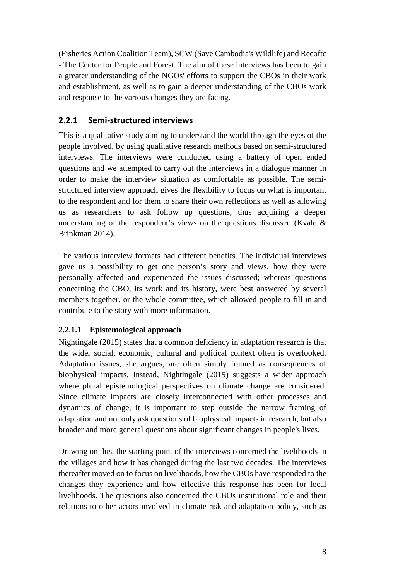(Fisheries Action Coalition Team), SCW (Save Cambodia's Wildlife) and Recoftc - The Center for People and Forest. The aim of these interviews has been to gain a greater understanding of the NGOs' efforts to support the CBOs in their work and establishment, as well as to gain a deeper understanding of the CBOs work and response to the various changes they are facing.

### <span id="page-14-0"></span>**2.2.1 Semi-structured interviews**

This is a qualitative study aiming to understand the world through the eyes of the people involved, by using qualitative research methods based on semi-structured interviews. The interviews were conducted using a battery of open ended questions and we attempted to carry out the interviews in a dialogue manner in order to make the interview situation as comfortable as possible. The semistructured interview approach gives the flexibility to focus on what is important to the respondent and for them to share their own reflections as well as allowing us as researchers to ask follow up questions, thus acquiring a deeper understanding of the respondent's views on the questions discussed (Kvale  $\&$ Brinkman 2014).

The various interview formats had different benefits. The individual interviews gave us a possibility to get one person's story and views, how they were personally affected and experienced the issues discussed; whereas questions concerning the CBO, its work and its history, were best answered by several members together, or the whole committee, which allowed people to fill in and contribute to the story with more information.

#### <span id="page-14-1"></span>**2.2.1.1 Epistemological approach**

Nightingale (2015) states that a common deficiency in adaptation research is that the wider social, economic, cultural and political context often is overlooked. Adaptation issues, she argues, are often simply framed as consequences of biophysical impacts. Instead, Nightingale (2015) suggests a wider approach where plural epistemological perspectives on climate change are considered. Since climate impacts are closely interconnected with other processes and dynamics of change, it is important to step outside the narrow framing of adaptation and not only ask questions of biophysical impacts in research, but also broader and more general questions about significant changes in people's lives.

Drawing on this, the starting point of the interviews concerned the livelihoods in the villages and how it has changed during the last two decades. The interviews thereafter moved on to focus on livelihoods, how the CBOs have responded to the changes they experience and how effective this response has been for local livelihoods. The questions also concerned the CBOs institutional role and their relations to other actors involved in climate risk and adaptation policy, such as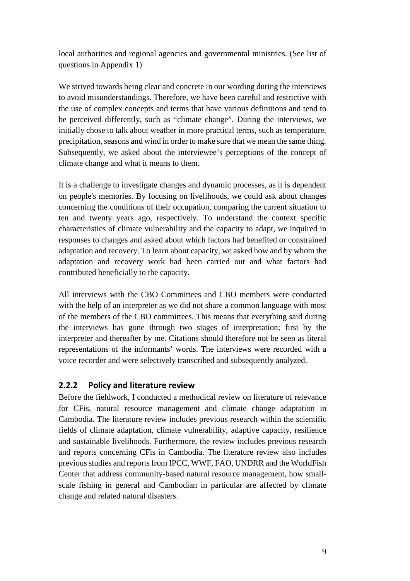local authorities and regional agencies and governmental ministries. (See list of questions in Appendix 1)

We strived towards being clear and concrete in our wording during the interviews to avoid misunderstandings. Therefore, we have been careful and restrictive with the use of complex concepts and terms that have various definitions and tend to be perceived differently, such as "climate change". During the interviews, we initially chose to talk about weather in more practical terms, such as temperature, precipitation, seasons and wind in order to make sure that we mean the same thing. Subsequently, we asked about the interviewee's perceptions of the concept of climate change and what it means to them.

It is a challenge to investigate changes and dynamic processes, as it is dependent on people's memories. By focusing on livelihoods, we could ask about changes concerning the conditions of their occupation, comparing the current situation to ten and twenty years ago, respectively. To understand the context specific characteristics of climate vulnerability and the capacity to adapt, we inquired in responses to changes and asked about which factors had benefited or constrained adaptation and recovery. To learn about capacity, we asked how and by whom the adaptation and recovery work had been carried out and what factors had contributed beneficially to the capacity.

All interviews with the CBO Committees and CBO members were conducted with the help of an interpreter as we did not share a common language with most of the members of the CBO committees. This means that everything said during the interviews has gone through two stages of interpretation; first by the interpreter and thereafter by me. Citations should therefore not be seen as literal representations of the informants' words. The interviews were recorded with a voice recorder and were selectively transcribed and subsequently analyzed.

#### <span id="page-15-0"></span>**2.2.2 Policy and literature review**

Before the fieldwork, I conducted a methodical review on literature of relevance for CFis, natural resource management and climate change adaptation in Cambodia. The literature review includes previous research within the scientific fields of climate adaptation, climate vulnerability, adaptive capacity, resilience and sustainable livelihoods. Furthermore, the review includes previous research and reports concerning CFis in Cambodia. The literature review also includes previous studies and reports from IPCC, WWF, FAO, UNDRR and the WorldFish Center that address community-based natural resource management, how smallscale fishing in general and Cambodian in particular are affected by climate change and related natural disasters.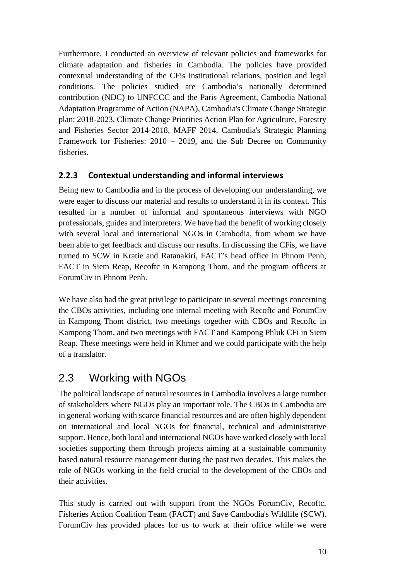Furthermore, I conducted an overview of relevant policies and frameworks for climate adaptation and fisheries in Cambodia. The policies have provided contextual understanding of the CFis institutional relations, position and legal conditions. The policies studied are Cambodia's nationally determined contribution (NDC) to UNFCCC and the Paris Agreement, Cambodia National Adaptation Programme of Action (NAPA), Cambodia's Climate Change Strategic plan: 2018-2023, Climate Change Priorities Action Plan for Agriculture, Forestry and Fisheries Sector 2014-2018, MAFF 2014, Cambodia's Strategic Planning Framework for Fisheries: 2010 – 2019, and the Sub Decree on Community fisheries.

### <span id="page-16-0"></span>**2.2.3 Contextual understanding and informal interviews**

Being new to Cambodia and in the process of developing our understanding, we were eager to discuss our material and results to understand it in its context. This resulted in a number of informal and spontaneous interviews with NGO professionals, guides and interpreters. We have had the benefit of working closely with several local and international NGOs in Cambodia, from whom we have been able to get feedback and discuss our results. In discussing the CFis, we have turned to SCW in Kratie and Ratanakiri, FACT's head office in Phnom Penh, FACT in Siem Reap, Recoftc in Kampong Thom, and the program officers at ForumCiv in Phnom Penh.

We have also had the great privilege to participate in several meetings concerning the CBOs activities, including one internal meeting with Recoftc and ForumCiv in Kampong Thom district, two meetings together with CBOs and Recoftc in Kampong Thom, and two meetings with FACT and Kampong Phluk CFi in Siem Reap. These meetings were held in Khmer and we could participate with the help of a translator.

## <span id="page-16-1"></span>2.3 Working with NGOs

The political landscape of natural resources in Cambodia involves a large number of stakeholders where NGOs play an important role. The CBOs in Cambodia are in general working with scarce financial resources and are often highly dependent on international and local NGOs for financial, technical and administrative support. Hence, both local and international NGOs have worked closely with local societies supporting them through projects aiming at a sustainable community based natural resource management during the past two decades. This makes the role of NGOs working in the field crucial to the development of the CBOs and their activities.

This study is carried out with support from the NGOs ForumCiv, Recoftc, Fisheries Action Coalition Team (FACT) and Save Cambodia's Wildlife (SCW). ForumCiv has provided places for us to work at their office while we were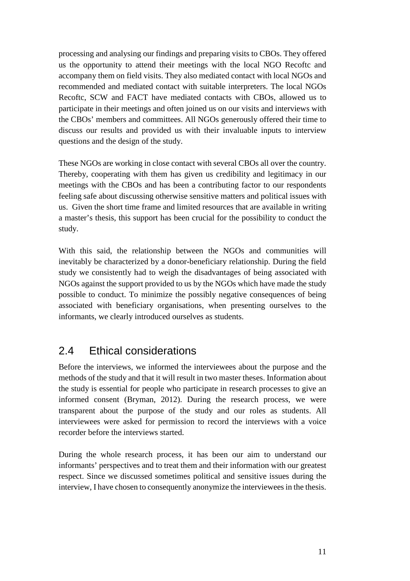processing and analysing our findings and preparing visits to CBOs. They offered us the opportunity to attend their meetings with the local NGO Recoftc and accompany them on field visits. They also mediated contact with local NGOs and recommended and mediated contact with suitable interpreters. The local NGOs Recoftc, SCW and FACT have mediated contacts with CBOs, allowed us to participate in their meetings and often joined us on our visits and interviews with the CBOs' members and committees. All NGOs generously offered their time to discuss our results and provided us with their invaluable inputs to interview questions and the design of the study.

These NGOs are working in close contact with several CBOs all over the country. Thereby, cooperating with them has given us credibility and legitimacy in our meetings with the CBOs and has been a contributing factor to our respondents feeling safe about discussing otherwise sensitive matters and political issues with us. Given the short time frame and limited resources that are available in writing a master's thesis, this support has been crucial for the possibility to conduct the study.

With this said, the relationship between the NGOs and communities will inevitably be characterized by a donor-beneficiary relationship. During the field study we consistently had to weigh the disadvantages of being associated with NGOs against the support provided to us by the NGOs which have made the study possible to conduct. To minimize the possibly negative consequences of being associated with beneficiary organisations, when presenting ourselves to the informants, we clearly introduced ourselves as students.

## <span id="page-17-0"></span>2.4 Ethical considerations

Before the interviews, we informed the interviewees about the purpose and the methods of the study and that it will result in two master theses. Information about the study is essential for people who participate in research processes to give an informed consent (Bryman, 2012). During the research process, we were transparent about the purpose of the study and our roles as students. All interviewees were asked for permission to record the interviews with a voice recorder before the interviews started.

<span id="page-17-1"></span>During the whole research process, it has been our aim to understand our informants' perspectives and to treat them and their information with our greatest respect. Since we discussed sometimes political and sensitive issues during the interview, I have chosen to consequently anonymize the interviewees in the thesis.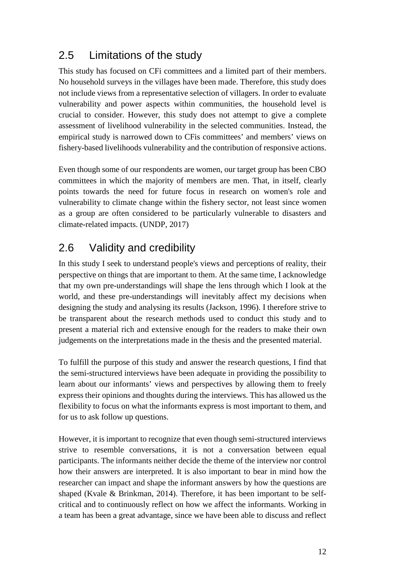## 2.5 Limitations of the study

This study has focused on CFi committees and a limited part of their members. No household surveys in the villages have been made. Therefore, this study does not include views from a representative selection of villagers. In order to evaluate vulnerability and power aspects within communities, the household level is crucial to consider. However, this study does not attempt to give a complete assessment of livelihood vulnerability in the selected communities. Instead, the empirical study is narrowed down to CFis committees' and members' views on fishery-based livelihoods vulnerability and the contribution of responsive actions.

Even though some of our respondents are women, our target group has been CBO committees in which the majority of members are men. That, in itself, clearly points towards the need for future focus in research on women's role and vulnerability to climate change within the fishery sector, not least since women as a group are often considered to be particularly vulnerable to disasters and climate-related impacts. (UNDP, 2017)

## <span id="page-18-0"></span>2.6 Validity and credibility

In this study I seek to understand people's views and perceptions of reality, their perspective on things that are important to them. At the same time, I acknowledge that my own pre-understandings will shape the lens through which I look at the world, and these pre-understandings will inevitably affect my decisions when designing the study and analysing its results (Jackson, 1996). I therefore strive to be transparent about the research methods used to conduct this study and to present a material rich and extensive enough for the readers to make their own judgements on the interpretations made in the thesis and the presented material.

To fulfill the purpose of this study and answer the research questions, I find that the semi-structured interviews have been adequate in providing the possibility to learn about our informants' views and perspectives by allowing them to freely express their opinions and thoughts during the interviews. This has allowed us the flexibility to focus on what the informants express is most important to them, and for us to ask follow up questions.

However, it is important to recognize that even though semi-structured interviews strive to resemble conversations, it is not a conversation between equal participants. The informants neither decide the theme of the interview nor control how their answers are interpreted. It is also important to bear in mind how the researcher can impact and shape the informant answers by how the questions are shaped (Kvale & Brinkman, 2014). Therefore, it has been important to be selfcritical and to continuously reflect on how we affect the informants. Working in a team has been a great advantage, since we have been able to discuss and reflect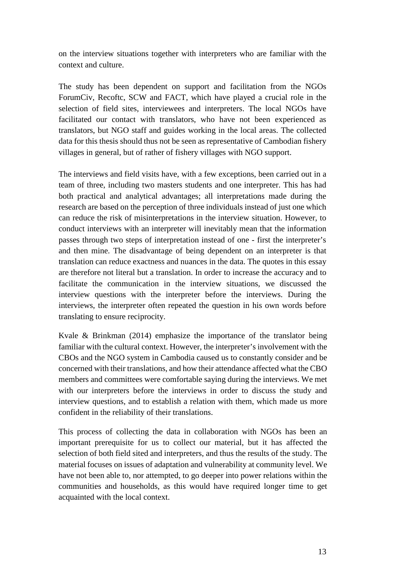on the interview situations together with interpreters who are familiar with the context and culture.

The study has been dependent on support and facilitation from the NGOs ForumCiv, Recoftc, SCW and FACT, which have played a crucial role in the selection of field sites, interviewees and interpreters. The local NGOs have facilitated our contact with translators, who have not been experienced as translators, but NGO staff and guides working in the local areas. The collected data for this thesis should thus not be seen as representative of Cambodian fishery villages in general, but of rather of fishery villages with NGO support.

The interviews and field visits have, with a few exceptions, been carried out in a team of three, including two masters students and one interpreter. This has had both practical and analytical advantages; all interpretations made during the research are based on the perception of three individuals instead of just one which can reduce the risk of misinterpretations in the interview situation. However, to conduct interviews with an interpreter will inevitably mean that the information passes through two steps of interpretation instead of one - first the interpreter's and then mine. The disadvantage of being dependent on an interpreter is that translation can reduce exactness and nuances in the data. The quotes in this essay are therefore not literal but a translation. In order to increase the accuracy and to facilitate the communication in the interview situations, we discussed the interview questions with the interpreter before the interviews. During the interviews, the interpreter often repeated the question in his own words before translating to ensure reciprocity.

Kvale & Brinkman (2014) emphasize the importance of the translator being familiar with the cultural context. However, the interpreter's involvement with the CBOs and the NGO system in Cambodia caused us to constantly consider and be concerned with their translations, and how their attendance affected what the CBO members and committees were comfortable saying during the interviews. We met with our interpreters before the interviews in order to discuss the study and interview questions, and to establish a relation with them, which made us more confident in the reliability of their translations.

This process of collecting the data in collaboration with NGOs has been an important prerequisite for us to collect our material, but it has affected the selection of both field sited and interpreters, and thus the results of the study. The material focuses on issues of adaptation and vulnerability at community level. We have not been able to, nor attempted, to go deeper into power relations within the communities and households, as this would have required longer time to get acquainted with the local context.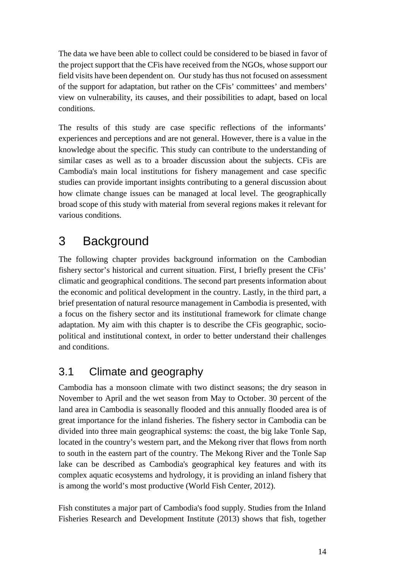The data we have been able to collect could be considered to be biased in favor of the project support that the CFis have received from the NGOs, whose support our field visits have been dependent on. Our study has thus not focused on assessment of the support for adaptation, but rather on the CFis' committees' and members' view on vulnerability, its causes, and their possibilities to adapt, based on local conditions.

The results of this study are case specific reflections of the informants' experiences and perceptions and are not general. However, there is a value in the knowledge about the specific. This study can contribute to the understanding of similar cases as well as to a broader discussion about the subjects. CFis are Cambodia's main local institutions for fishery management and case specific studies can provide important insights contributing to a general discussion about how climate change issues can be managed at local level. The geographically broad scope of this study with material from several regions makes it relevant for various conditions.

# <span id="page-20-0"></span>3 Background

The following chapter provides background information on the Cambodian fishery sector's historical and current situation. First, I briefly present the CFis' climatic and geographical conditions. The second part presents information about the economic and political development in the country. Lastly, in the third part, a brief presentation of natural resource management in Cambodia is presented, with a focus on the fishery sector and its institutional framework for climate change adaptation. My aim with this chapter is to describe the CFis geographic, sociopolitical and institutional context, in order to better understand their challenges and conditions.

## <span id="page-20-1"></span>3.1 Climate and geography

Cambodia has a monsoon climate with two distinct seasons; the dry season in November to April and the wet season from May to October. 30 percent of the land area in Cambodia is seasonally flooded and this annually flooded area is of great importance for the inland fisheries. The fishery sector in Cambodia can be divided into three main geographical systems: the coast, the big lake Tonle Sap, located in the country's western part, and the Mekong river that flows from north to south in the eastern part of the country. The Mekong River and the Tonle Sap lake can be described as Cambodia's geographical key features and with its complex aquatic ecosystems and hydrology, it is providing an inland fishery that is among the world's most productive (World Fish Center, 2012).

Fish constitutes a major part of Cambodia's food supply. Studies from the Inland Fisheries Research and Development Institute (2013) shows that fish, together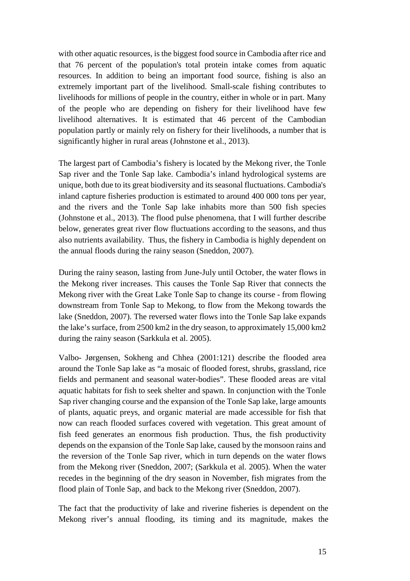with other aquatic resources, is the biggest food source in Cambodia after rice and that 76 percent of the population's total protein intake comes from aquatic resources. In addition to being an important food source, fishing is also an extremely important part of the livelihood. Small-scale fishing contributes to livelihoods for millions of people in the country, either in whole or in part. Many of the people who are depending on fishery for their livelihood have few livelihood alternatives. It is estimated that 46 percent of the Cambodian population partly or mainly rely on fishery for their livelihoods, a number that is significantly higher in rural areas (Johnstone et al., 2013).

The largest part of Cambodia's fishery is located by the Mekong river, the Tonle Sap river and the Tonle Sap lake. Cambodia's inland hydrological systems are unique, both due to its great biodiversity and its seasonal fluctuations. Cambodia's inland capture fisheries production is estimated to around 400 000 tons per year, and the rivers and the Tonle Sap lake inhabits more than 500 fish species (Johnstone et al., 2013). The flood pulse phenomena, that I will further describe below, generates great river flow fluctuations according to the seasons, and thus also nutrients availability. Thus, the fishery in Cambodia is highly dependent on the annual floods during the rainy season (Sneddon, 2007).

During the rainy season, lasting from June-July until October, the water flows in the Mekong river increases. This causes the Tonle Sap River that connects the Mekong river with the Great Lake Tonle Sap to change its course - from flowing downstream from Tonle Sap to Mekong, to flow from the Mekong towards the lake (Sneddon, 2007). The reversed water flows into the Tonle Sap lake expands the lake's surface, from 2500 km2 in the dry season, to approximately 15,000 km2 during the rainy season (Sarkkula et al. 2005).

Valbo- Jørgensen, Sokheng and Chhea (2001:121) describe the flooded area around the Tonle Sap lake as "a mosaic of flooded forest, shrubs, grassland, rice fields and permanent and seasonal water-bodies". These flooded areas are vital aquatic habitats for fish to seek shelter and spawn. In conjunction with the Tonle Sap river changing course and the expansion of the Tonle Sap lake, large amounts of plants, aquatic preys, and organic material are made accessible for fish that now can reach flooded surfaces covered with vegetation. This great amount of fish feed generates an enormous fish production. Thus, the fish productivity depends on the expansion of the Tonle Sap lake, caused by the monsoon rains and the reversion of the Tonle Sap river, which in turn depends on the water flows from the Mekong river (Sneddon, 2007; (Sarkkula et al. 2005). When the water recedes in the beginning of the dry season in November, fish migrates from the flood plain of Tonle Sap, and back to the Mekong river (Sneddon, 2007).

The fact that the productivity of lake and riverine fisheries is dependent on the Mekong river's annual flooding, its timing and its magnitude, makes the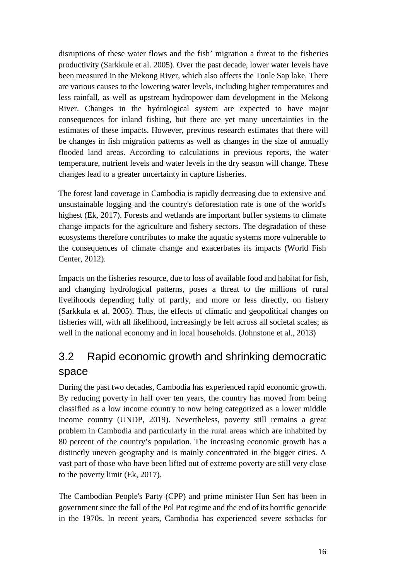disruptions of these water flows and the fish' migration a threat to the fisheries productivity (Sarkkule et al. 2005). Over the past decade, lower water levels have been measured in the Mekong River, which also affects the Tonle Sap lake. There are various causes to the lowering water levels, including higher temperatures and less rainfall, as well as upstream hydropower dam development in the Mekong River. Changes in the hydrological system are expected to have major consequences for inland fishing, but there are yet many uncertainties in the estimates of these impacts. However, previous research estimates that there will be changes in fish migration patterns as well as changes in the size of annually flooded land areas. According to calculations in previous reports, the water temperature, nutrient levels and water levels in the dry season will change. These changes lead to a greater uncertainty in capture fisheries.

The forest land coverage in Cambodia is rapidly decreasing due to extensive and unsustainable logging and the country's deforestation rate is one of the world's highest (Ek, 2017). Forests and wetlands are important buffer systems to climate change impacts for the agriculture and fishery sectors. The degradation of these ecosystems therefore contributes to make the aquatic systems more vulnerable to the consequences of climate change and exacerbates its impacts (World Fish Center, 2012).

Impacts on the fisheries resource, due to loss of available food and habitat for fish, and changing hydrological patterns, poses a threat to the millions of rural livelihoods depending fully of partly, and more or less directly, on fishery (Sarkkula et al. 2005). Thus, the effects of climatic and geopolitical changes on fisheries will, with all likelihood, increasingly be felt across all societal scales; as well in the national economy and in local households. (Johnstone et al., 2013)

## <span id="page-22-0"></span>3.2 Rapid economic growth and shrinking democratic space

During the past two decades, Cambodia has experienced rapid economic growth. By reducing poverty in half over ten years, the country has moved from being classified as a low income country to now being categorized as a lower middle income country (UNDP, 2019). Nevertheless, poverty still remains a great problem in Cambodia and particularly in the rural areas which are inhabited by 80 percent of the country's population. The increasing economic growth has a distinctly uneven geography and is mainly concentrated in the bigger cities. A vast part of those who have been lifted out of extreme poverty are still very close to the poverty limit (Ek, 2017).

The Cambodian People's Party (CPP) and prime minister Hun Sen has been in government since the fall of the Pol Pot regime and the end of its horrific genocide in the 1970s. In recent years, Cambodia has experienced severe setbacks for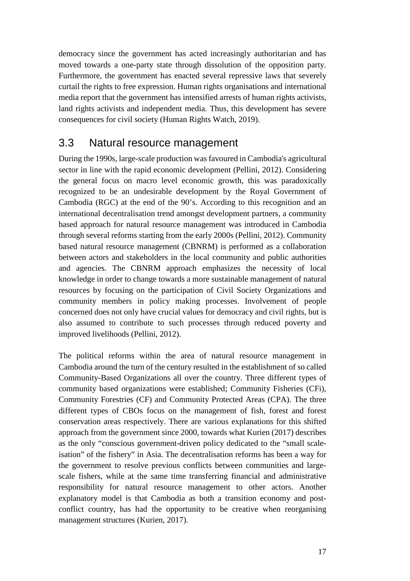democracy since the government has acted increasingly authoritarian and has moved towards a one-party state through dissolution of the opposition party. Furthermore, the government has enacted several repressive laws that severely curtail the rights to free expression. Human rights organisations and international media report that the government has intensified arrests of human rights activists, land rights activists and independent media. Thus, this development has severe consequences for civil society (Human Rights Watch, 2019).

### <span id="page-23-0"></span>3.3 Natural resource management

During the 1990s, large-scale production was favoured in Cambodia's agricultural sector in line with the rapid economic development (Pellini, 2012). Considering the general focus on macro level economic growth, this was paradoxically recognized to be an undesirable development by the Royal Government of Cambodia (RGC) at the end of the 90's. According to this recognition and an international decentralisation trend amongst development partners, a community based approach for natural resource management was introduced in Cambodia through several reforms starting from the early 2000s (Pellini, 2012). Community based natural resource management (CBNRM) is performed as a collaboration between actors and stakeholders in the local community and public authorities and agencies. The CBNRM approach emphasizes the necessity of local knowledge in order to change towards a more sustainable management of natural resources by focusing on the participation of Civil Society Organizations and community members in policy making processes. Involvement of people concerned does not only have crucial values for democracy and civil rights, but is also assumed to contribute to such processes through reduced poverty and improved livelihoods (Pellini, 2012).

The political reforms within the area of natural resource management in Cambodia around the turn of the century resulted in the establishment of so called Community-Based Organizations all over the country. Three different types of community based organizations were established; Community Fisheries (CFi), Community Forestries (CF) and Community Protected Areas (CPA). The three different types of CBOs focus on the management of fish, forest and forest conservation areas respectively. There are various explanations for this shifted approach from the government since 2000, towards what Kurien (2017) describes as the only "conscious government-driven policy dedicated to the "small scaleisation" of the fishery" in Asia. The decentralisation reforms has been a way for the government to resolve previous conflicts between communities and largescale fishers, while at the same time transferring financial and administrative responsibility for natural resource management to other actors. Another explanatory model is that Cambodia as both a transition economy and postconflict country, has had the opportunity to be creative when reorganising management structures (Kurien, 2017).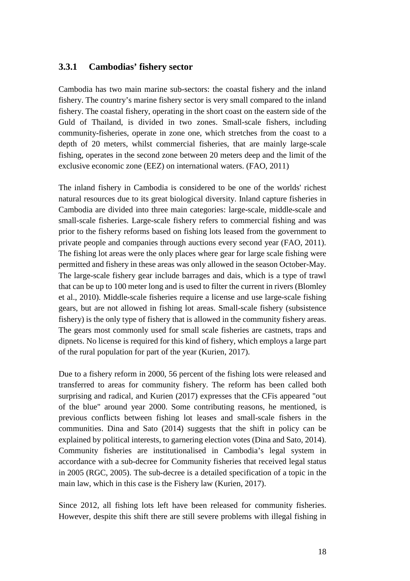#### <span id="page-24-0"></span>**3.3.1 Cambodias' fishery sector**

Cambodia has two main marine sub-sectors: the coastal fishery and the inland fishery. The country's marine fishery sector is very small compared to the inland fishery. The coastal fishery, operating in the short coast on the eastern side of the Guld of Thailand, is divided in two zones. Small-scale fishers, including community-fisheries, operate in zone one, which stretches from the coast to a depth of 20 meters, whilst commercial fisheries, that are mainly large-scale fishing, operates in the second zone between 20 meters deep and the limit of the exclusive economic zone (EEZ) on international waters. (FAO, 2011)

The inland fishery in Cambodia is considered to be one of the worlds' richest natural resources due to its great biological diversity. Inland capture fisheries in Cambodia are divided into three main categories: large-scale, middle-scale and small-scale fisheries. Large-scale fishery refers to commercial fishing and was prior to the fishery reforms based on fishing lots leased from the government to private people and companies through auctions every second year (FAO, 2011). The fishing lot areas were the only places where gear for large scale fishing were permitted and fishery in these areas was only allowed in the season October-May. The large-scale fishery gear include barrages and dais, which is a type of trawl that can be up to 100 meter long and is used to filter the current in rivers (Blomley et al., 2010). Middle-scale fisheries require a license and use large-scale fishing gears, but are not allowed in fishing lot areas. Small-scale fishery (subsistence fishery) is the only type of fishery that is allowed in the community fishery areas. The gears most commonly used for small scale fisheries are castnets, traps and dipnets. No license is required for this kind of fishery, which employs a large part of the rural population for part of the year (Kurien, 2017).

Due to a fishery reform in 2000, 56 percent of the fishing lots were released and transferred to areas for community fishery. The reform has been called both surprising and radical, and Kurien (2017) expresses that the CFis appeared "out of the blue" around year 2000. Some contributing reasons, he mentioned, is previous conflicts between fishing lot leases and small-scale fishers in the communities. Dina and Sato (2014) suggests that the shift in policy can be explained by political interests, to garnering election votes (Dina and Sato, 2014). Community fisheries are institutionalised in Cambodia's legal system in accordance with a sub-decree for Community fisheries that received legal status in 2005 (RGC, 2005). The sub-decree is a detailed specification of a topic in the main law, which in this case is the Fishery law (Kurien, 2017).

Since 2012, all fishing lots left have been released for community fisheries. However, despite this shift there are still severe problems with illegal fishing in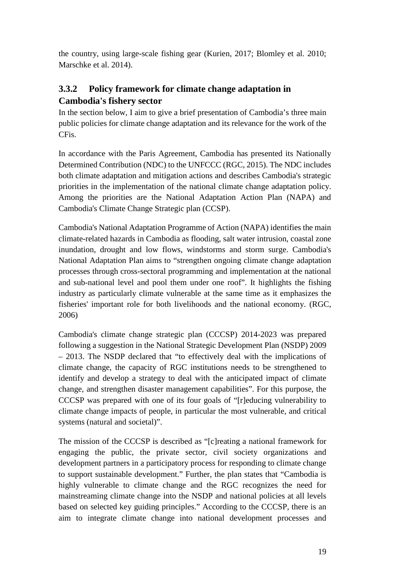the country, using large-scale fishing gear (Kurien, 2017; Blomley et al. 2010; Marschke et al. 2014).

### <span id="page-25-0"></span>**3.3.2 Policy framework for climate change adaptation in Cambodia's fishery sector**

In the section below, I aim to give a brief presentation of Cambodia's three main public policies for climate change adaptation and its relevance for the work of the CFis.

In accordance with the Paris Agreement, Cambodia has presented its Nationally Determined Contribution (NDC) to the UNFCCC (RGC, 2015). The NDC includes both climate adaptation and mitigation actions and describes Cambodia's strategic priorities in the implementation of the national climate change adaptation policy. Among the priorities are the National Adaptation Action Plan (NAPA) and Cambodia's Climate Change Strategic plan (CCSP).

Cambodia's National Adaptation Programme of Action (NAPA) identifies the main climate-related hazards in Cambodia as flooding, salt water intrusion, coastal zone inundation, drought and low flows, windstorms and storm surge. Cambodia's National Adaptation Plan aims to "strengthen ongoing climate change adaptation processes through cross-sectoral programming and implementation at the national and sub-national level and pool them under one roof". It highlights the fishing industry as particularly climate vulnerable at the same time as it emphasizes the fisheries' important role for both livelihoods and the national economy. (RGC, 2006)

Cambodia's climate change strategic plan (CCCSP) 2014-2023 was prepared following a suggestion in the National Strategic Development Plan (NSDP) 2009 – 2013. The NSDP declared that "to effectively deal with the implications of climate change, the capacity of RGC institutions needs to be strengthened to identify and develop a strategy to deal with the anticipated impact of climate change, and strengthen disaster management capabilities". For this purpose, the CCCSP was prepared with one of its four goals of "[r]educing vulnerability to climate change impacts of people, in particular the most vulnerable, and critical systems (natural and societal)".

The mission of the CCCSP is described as "[c]reating a national framework for engaging the public, the private sector, civil society organizations and development partners in a participatory process for responding to climate change to support sustainable development." Further, the plan states that "Cambodia is highly vulnerable to climate change and the RGC recognizes the need for mainstreaming climate change into the NSDP and national policies at all levels based on selected key guiding principles." According to the CCCSP, there is an aim to integrate climate change into national development processes and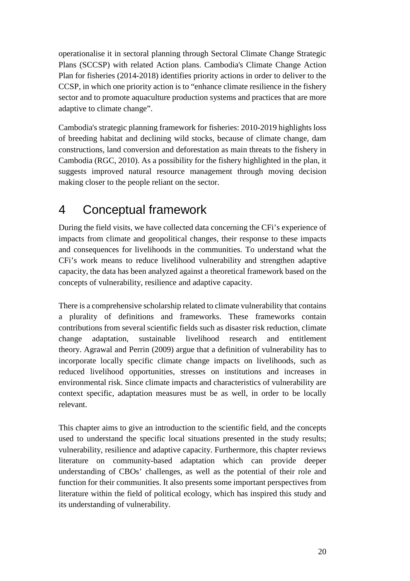operationalise it in sectoral planning through Sectoral Climate Change Strategic Plans (SCCSP) with related Action plans. Cambodia's Climate Change Action Plan for fisheries (2014-2018) identifies priority actions in order to deliver to the CCSP, in which one priority action is to "enhance climate resilience in the fishery sector and to promote aquaculture production systems and practices that are more adaptive to climate change".

Cambodia's strategic planning framework for fisheries: 2010-2019 highlights loss of breeding habitat and declining wild stocks, because of climate change, dam constructions, land conversion and deforestation as main threats to the fishery in Cambodia (RGC, 2010). As a possibility for the fishery highlighted in the plan, it suggests improved natural resource management through moving decision making closer to the people reliant on the sector.

# <span id="page-26-0"></span>4 Conceptual framework

During the field visits, we have collected data concerning the CFi's experience of impacts from climate and geopolitical changes, their response to these impacts and consequences for livelihoods in the communities. To understand what the CFi's work means to reduce livelihood vulnerability and strengthen adaptive capacity, the data has been analyzed against a theoretical framework based on the concepts of vulnerability, resilience and adaptive capacity.

There is a comprehensive scholarship related to climate vulnerability that contains a plurality of definitions and frameworks. These frameworks contain contributions from several scientific fields such as disaster risk reduction, climate change adaptation, sustainable livelihood research and entitlement theory. Agrawal and Perrin (2009) argue that a definition of vulnerability has to incorporate locally specific climate change impacts on livelihoods, such as reduced livelihood opportunities, stresses on institutions and increases in environmental risk. Since climate impacts and characteristics of vulnerability are context specific, adaptation measures must be as well, in order to be locally relevant.

This chapter aims to give an introduction to the scientific field, and the concepts used to understand the specific local situations presented in the study results; vulnerability, resilience and adaptive capacity. Furthermore, this chapter reviews literature on community-based adaptation which can provide deeper understanding of CBOs' challenges, as well as the potential of their role and function for their communities. It also presents some important perspectives from literature within the field of political ecology, which has inspired this study and its understanding of vulnerability.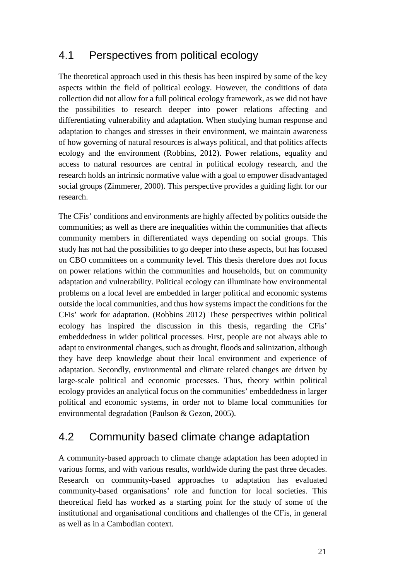## 4.1 Perspectives from political ecology

The theoretical approach used in this thesis has been inspired by some of the key aspects within the field of political ecology. However, the conditions of data collection did not allow for a full political ecology framework, as we did not have the possibilities to research deeper into power relations affecting and differentiating vulnerability and adaptation. When studying human response and adaptation to changes and stresses in their environment, we maintain awareness of how governing of natural resources is always political, and that politics affects ecology and the environment (Robbins, 2012). Power relations, equality and access to natural resources are central in political ecology research, and the research holds an intrinsic normative value with a goal to empower disadvantaged social groups (Zimmerer, 2000). This perspective provides a guiding light for our research.

The CFis' conditions and environments are highly affected by politics outside the communities; as well as there are inequalities within the communities that affects community members in differentiated ways depending on social groups. This study has not had the possibilities to go deeper into these aspects, but has focused on CBO committees on a community level. This thesis therefore does not focus on power relations within the communities and households, but on community adaptation and vulnerability. Political ecology can illuminate how environmental problems on a local level are embedded in larger political and economic systems outside the local communities, and thus how systems impact the conditions for the CFis' work for adaptation. (Robbins 2012) These perspectives within political ecology has inspired the discussion in this thesis, regarding the CFis' embeddedness in wider political processes. First, people are not always able to adapt to environmental changes, such as drought, floods and salinization, although they have deep knowledge about their local environment and experience of adaptation. Secondly, environmental and climate related changes are driven by large-scale political and economic processes. Thus, theory within political ecology provides an analytical focus on the communities' embeddedness in larger political and economic systems, in order not to blame local communities for environmental degradation (Paulson & Gezon, 2005).

## 4.2 Community based climate change adaptation

A community-based approach to climate change adaptation has been adopted in various forms, and with various results, worldwide during the past three decades. Research on community-based approaches to adaptation has evaluated community-based organisations' role and function for local societies. This theoretical field has worked as a starting point for the study of some of the institutional and organisational conditions and challenges of the CFis, in general as well as in a Cambodian context.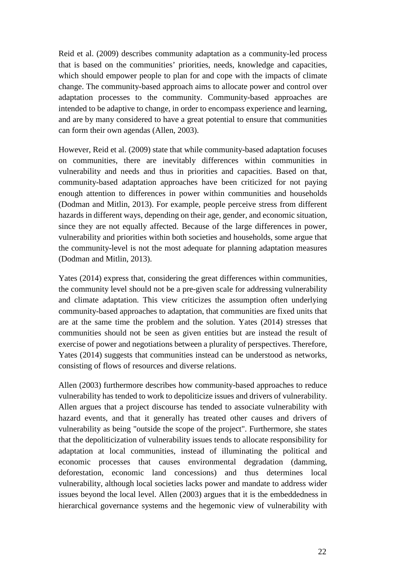Reid et al. (2009) describes community adaptation as a community-led process that is based on the communities' priorities, needs, knowledge and capacities, which should empower people to plan for and cope with the impacts of climate change. The community-based approach aims to allocate power and control over adaptation processes to the community. Community-based approaches are intended to be adaptive to change, in order to encompass experience and learning, and are by many considered to have a great potential to ensure that communities can form their own agendas (Allen, 2003).

However, Reid et al. (2009) state that while community-based adaptation focuses on communities, there are inevitably differences within communities in vulnerability and needs and thus in priorities and capacities. Based on that, community-based adaptation approaches have been criticized for not paying enough attention to differences in power within communities and households (Dodman and Mitlin, 2013). For example, people perceive stress from different hazards in different ways, depending on their age, gender, and economic situation, since they are not equally affected. Because of the large differences in power, vulnerability and priorities within both societies and households, some argue that the community-level is not the most adequate for planning adaptation measures (Dodman and Mitlin, 2013).

Yates (2014) express that, considering the great differences within communities, the community level should not be a pre-given scale for addressing vulnerability and climate adaptation. This view criticizes the assumption often underlying community-based approaches to adaptation, that communities are fixed units that are at the same time the problem and the solution. Yates (2014) stresses that communities should not be seen as given entities but are instead the result of exercise of power and negotiations between a plurality of perspectives. Therefore, Yates (2014) suggests that communities instead can be understood as networks, consisting of flows of resources and diverse relations.

Allen (2003) furthermore describes how community-based approaches to reduce vulnerability has tended to work to depoliticize issues and drivers of vulnerability. Allen argues that a project discourse has tended to associate vulnerability with hazard events, and that it generally has treated other causes and drivers of vulnerability as being "outside the scope of the project". Furthermore, she states that the depoliticization of vulnerability issues tends to allocate responsibility for adaptation at local communities, instead of illuminating the political and economic processes that causes environmental degradation (damming, deforestation, economic land concessions) and thus determines local vulnerability, although local societies lacks power and mandate to address wider issues beyond the local level. Allen (2003) argues that it is the embeddedness in hierarchical governance systems and the hegemonic view of vulnerability with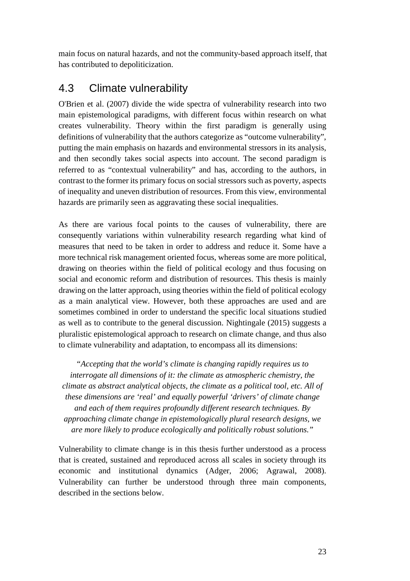main focus on natural hazards, and not the community-based approach itself, that has contributed to depoliticization.

## <span id="page-29-0"></span>4.3 Climate vulnerability

O'Brien et al. (2007) divide the wide spectra of vulnerability research into two main epistemological paradigms, with different focus within research on what creates vulnerability. Theory within the first paradigm is generally using definitions of vulnerability that the authors categorize as "outcome vulnerability", putting the main emphasis on hazards and environmental stressors in its analysis, and then secondly takes social aspects into account. The second paradigm is referred to as "contextual vulnerability" and has, according to the authors, in contrast to the former its primary focus on social stressors such as poverty, aspects of inequality and uneven distribution of resources. From this view, environmental hazards are primarily seen as aggravating these social inequalities.

As there are various focal points to the causes of vulnerability, there are consequently variations within vulnerability research regarding what kind of measures that need to be taken in order to address and reduce it. Some have a more technical risk management oriented focus, whereas some are more political, drawing on theories within the field of political ecology and thus focusing on social and economic reform and distribution of resources. This thesis is mainly drawing on the latter approach, using theories within the field of political ecology as a main analytical view. However, both these approaches are used and are sometimes combined in order to understand the specific local situations studied as well as to contribute to the general discussion. Nightingale (2015) suggests a pluralistic epistemological approach to research on climate change, and thus also to climate vulnerability and adaptation, to encompass all its dimensions:

*"Accepting that the world's climate is changing rapidly requires us to interrogate all dimensions of it: the climate as atmospheric chemistry, the climate as abstract analytical objects, the climate as a political tool, etc. All of these dimensions are 'real' and equally powerful 'drivers' of climate change and each of them requires profoundly different research techniques. By approaching climate change in epistemologically plural research designs, we are more likely to produce ecologically and politically robust solutions."*

<span id="page-29-1"></span>Vulnerability to climate change is in this thesis further understood as a process that is created, sustained and reproduced across all scales in society through its economic and institutional dynamics (Adger, 2006; Agrawal, 2008). Vulnerability can further be understood through three main components, described in the sections below.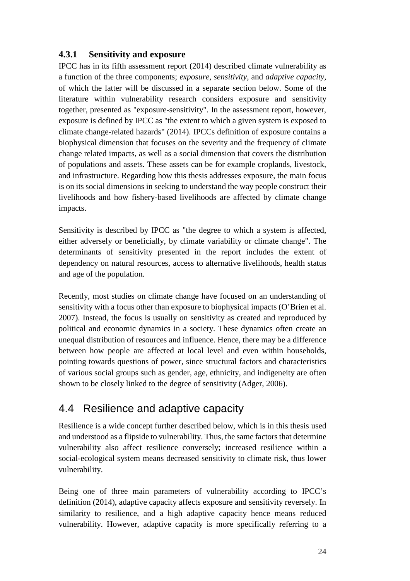#### **4.3.1 Sensitivity and exposure**

IPCC has in its fifth assessment report (2014) described climate vulnerability as a function of the three components; *exposure*, *sensitivity*, and *adaptive capacity,*  of which the latter will be discussed in a separate section below. Some of the literature within vulnerability research considers exposure and sensitivity together, presented as "exposure-sensitivity". In the assessment report, however, exposure is defined by IPCC as "the extent to which a given system is exposed to climate change-related hazards" (2014). IPCCs definition of exposure contains a biophysical dimension that focuses on the severity and the frequency of climate change related impacts, as well as a social dimension that covers the distribution of populations and assets. These assets can be for example croplands, livestock, and infrastructure. Regarding how this thesis addresses exposure, the main focus is on its social dimensions in seeking to understand the way people construct their livelihoods and how fishery-based livelihoods are affected by climate change impacts.

Sensitivity is described by IPCC as "the degree to which a system is affected, either adversely or beneficially, by climate variability or climate change". The determinants of sensitivity presented in the report includes the extent of dependency on natural resources, access to alternative livelihoods, health status and age of the population.

Recently, most studies on climate change have focused on an understanding of sensitivity with a focus other than exposure to biophysical impacts (O'Brien et al. 2007). Instead, the focus is usually on sensitivity as created and reproduced by political and economic dynamics in a society. These dynamics often create an unequal distribution of resources and influence. Hence, there may be a difference between how people are affected at local level and even within households, pointing towards questions of power, since structural factors and characteristics of various social groups such as gender, age, ethnicity, and indigeneity are often shown to be closely linked to the degree of sensitivity (Adger, 2006).

## <span id="page-30-0"></span>4.4 Resilience and adaptive capacity

Resilience is a wide concept further described below, which is in this thesis used and understood as a flipside to vulnerability. Thus, the same factors that determine vulnerability also affect resilience conversely; increased resilience within a social-ecological system means decreased sensitivity to climate risk, thus lower vulnerability.

Being one of three main parameters of vulnerability according to IPCC's definition (2014), adaptive capacity affects exposure and sensitivity reversely. In similarity to resilience, and a high adaptive capacity hence means reduced vulnerability. However, adaptive capacity is more specifically referring to a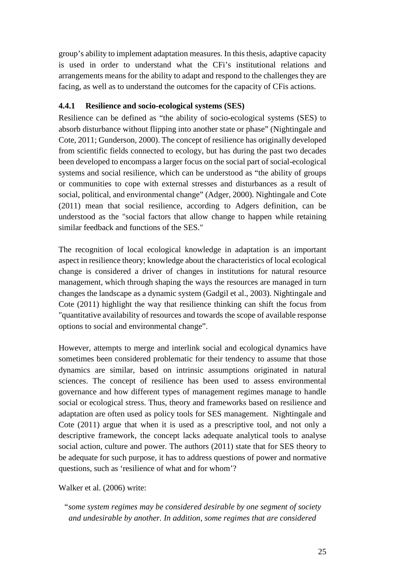group's ability to implement adaptation measures. In this thesis, adaptive capacity is used in order to understand what the CFi's institutional relations and arrangements means for the ability to adapt and respond to the challenges they are facing, as well as to understand the outcomes for the capacity of CFis actions.

#### <span id="page-31-0"></span>**4.4.1 Resilience and socio-ecological systems (SES)**

Resilience can be defined as "the ability of socio-ecological systems (SES) to absorb disturbance without flipping into another state or phase" (Nightingale and Cote, 2011; Gunderson, 2000). The concept of resilience has originally developed from scientific fields connected to ecology, but has during the past two decades been developed to encompass a larger focus on the social part of social-ecological systems and social resilience, which can be understood as "the ability of groups or communities to cope with external stresses and disturbances as a result of social, political, and environmental change" (Adger, 2000). Nightingale and Cote (2011) mean that social resilience, according to Adgers definition, can be understood as the "social factors that allow change to happen while retaining similar feedback and functions of the SES."

The recognition of local ecological knowledge in adaptation is an important aspect in resilience theory; knowledge about the characteristics of local ecological change is considered a driver of changes in institutions for natural resource management, which through shaping the ways the resources are managed in turn changes the landscape as a dynamic system (Gadgil et al., 2003). Nightingale and Cote (2011) highlight the way that resilience thinking can shift the focus from "quantitative availability of resources and towards the scope of available response options to social and environmental change".

However, attempts to merge and interlink social and ecological dynamics have sometimes been considered problematic for their tendency to assume that those dynamics are similar, based on intrinsic assumptions originated in natural sciences. The concept of resilience has been used to assess environmental governance and how different types of management regimes manage to handle social or ecological stress. Thus, theory and frameworks based on resilience and adaptation are often used as policy tools for SES management. Nightingale and Cote (2011) argue that when it is used as a prescriptive tool, and not only a descriptive framework, the concept lacks adequate analytical tools to analyse social action, culture and power. The authors (2011) state that for SES theory to be adequate for such purpose, it has to address questions of power and normative questions, such as 'resilience of what and for whom'?

Walker et al. (2006) write:

*<sup>&</sup>quot;some system regimes may be considered desirable by one segment of society and undesirable by another. In addition, some regimes that are considered*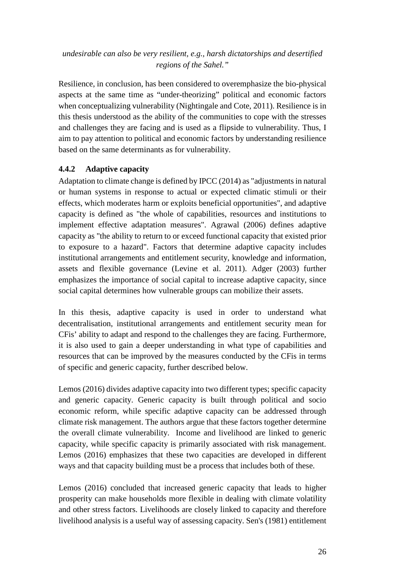#### *undesirable can also be very resilient, e.g., harsh dictatorships and desertified regions of the Sahel."*

Resilience, in conclusion, has been considered to overemphasize the bio-physical aspects at the same time as "under-theorizing" political and economic factors when conceptualizing vulnerability (Nightingale and Cote, 2011). Resilience is in this thesis understood as the ability of the communities to cope with the stresses and challenges they are facing and is used as a flipside to vulnerability. Thus, I aim to pay attention to political and economic factors by understanding resilience based on the same determinants as for vulnerability.

#### <span id="page-32-0"></span>**4.4.2 Adaptive capacity**

Adaptation to climate change is defined by IPCC (2014) as "adjustments in natural or human systems in response to actual or expected climatic stimuli or their effects, which moderates harm or exploits beneficial opportunities", and adaptive capacity is defined as "the whole of capabilities, resources and institutions to implement effective adaptation measures". Agrawal (2006) defines adaptive capacity as "the ability to return to or exceed functional capacity that existed prior to exposure to a hazard". Factors that determine adaptive capacity includes institutional arrangements and entitlement security, knowledge and information, assets and flexible governance (Levine et al. 2011). Adger (2003) further emphasizes the importance of social capital to increase adaptive capacity, since social capital determines how vulnerable groups can mobilize their assets.

In this thesis, adaptive capacity is used in order to understand what decentralisation, institutional arrangements and entitlement security mean for CFis' ability to adapt and respond to the challenges they are facing. Furthermore, it is also used to gain a deeper understanding in what type of capabilities and resources that can be improved by the measures conducted by the CFis in terms of specific and generic capacity, further described below.

Lemos (2016) divides adaptive capacity into two different types; specific capacity and generic capacity. Generic capacity is built through political and socio economic reform, while specific adaptive capacity can be addressed through climate risk management. The authors argue that these factors together determine the overall climate vulnerability. Income and livelihood are linked to generic capacity, while specific capacity is primarily associated with risk management. Lemos (2016) emphasizes that these two capacities are developed in different ways and that capacity building must be a process that includes both of these.

Lemos (2016) concluded that increased generic capacity that leads to higher prosperity can make households more flexible in dealing with climate volatility and other stress factors. Livelihoods are closely linked to capacity and therefore livelihood analysis is a useful way of assessing capacity. Sen's (1981) entitlement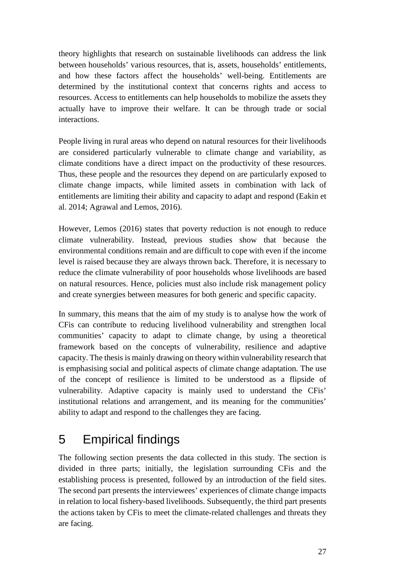theory highlights that research on sustainable livelihoods can address the link between households' various resources, that is, assets, households' entitlements, and how these factors affect the households' well-being. Entitlements are determined by the institutional context that concerns rights and access to resources. Access to entitlements can help households to mobilize the assets they actually have to improve their welfare. It can be through trade or social interactions.

People living in rural areas who depend on natural resources for their livelihoods are considered particularly vulnerable to climate change and variability, as climate conditions have a direct impact on the productivity of these resources. Thus, these people and the resources they depend on are particularly exposed to climate change impacts, while limited assets in combination with lack of entitlements are limiting their ability and capacity to adapt and respond (Eakin et al. 2014; Agrawal and Lemos, 2016).

However, Lemos (2016) states that poverty reduction is not enough to reduce climate vulnerability. Instead, previous studies show that because the environmental conditions remain and are difficult to cope with even if the income level is raised because they are always thrown back. Therefore, it is necessary to reduce the climate vulnerability of poor households whose livelihoods are based on natural resources. Hence, policies must also include risk management policy and create synergies between measures for both generic and specific capacity.

In summary, this means that the aim of my study is to analyse how the work of CFis can contribute to reducing livelihood vulnerability and strengthen local communities' capacity to adapt to climate change, by using a theoretical framework based on the concepts of vulnerability, resilience and adaptive capacity. The thesis is mainly drawing on theory within vulnerability research that is emphasising social and political aspects of climate change adaptation. The use of the concept of resilience is limited to be understood as a flipside of vulnerability. Adaptive capacity is mainly used to understand the CFis' institutional relations and arrangement, and its meaning for the communities' ability to adapt and respond to the challenges they are facing.

# <span id="page-33-0"></span>5 Empirical findings

The following section presents the data collected in this study. The section is divided in three parts; initially, the legislation surrounding CFis and the establishing process is presented, followed by an introduction of the field sites. The second part presents the interviewees' experiences of climate change impacts in relation to local fishery-based livelihoods. Subsequently, the third part presents the actions taken by CFis to meet the climate-related challenges and threats they are facing.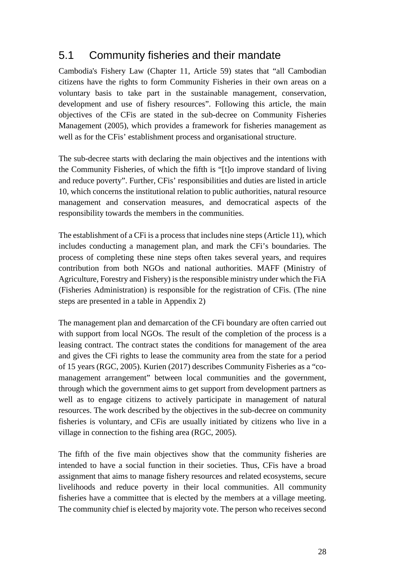## <span id="page-34-0"></span>5.1 Community fisheries and their mandate

Cambodia's Fishery Law (Chapter 11, Article 59) states that "all Cambodian citizens have the rights to form Community Fisheries in their own areas on a voluntary basis to take part in the sustainable management, conservation, development and use of fishery resources". Following this article, the main objectives of the CFis are stated in the sub-decree on Community Fisheries Management (2005), which provides a framework for fisheries management as well as for the CFis' establishment process and organisational structure.

The sub-decree starts with declaring the main objectives and the intentions with the Community Fisheries, of which the fifth is "[t]o improve standard of living and reduce poverty". Further, CFis' responsibilities and duties are listed in article 10, which concerns the institutional relation to public authorities, natural resource management and conservation measures, and democratical aspects of the responsibility towards the members in the communities.

The establishment of a CFi is a process that includes nine steps (Article 11), which includes conducting a management plan, and mark the CFi's boundaries. The process of completing these nine steps often takes several years, and requires contribution from both NGOs and national authorities. MAFF (Ministry of Agriculture, Forestry and Fishery) is the responsible ministry under which the FiA (Fisheries Administration) is responsible for the registration of CFis. (The nine steps are presented in a table in Appendix 2)

The management plan and demarcation of the CFi boundary are often carried out with support from local NGOs. The result of the completion of the process is a leasing contract. The contract states the conditions for management of the area and gives the CFi rights to lease the community area from the state for a period of 15 years (RGC, 2005). Kurien (2017) describes Community Fisheries as a "comanagement arrangement" between local communities and the government, through which the government aims to get support from development partners as well as to engage citizens to actively participate in management of natural resources. The work described by the objectives in the sub-decree on community fisheries is voluntary, and CFis are usually initiated by citizens who live in a village in connection to the fishing area (RGC, 2005).

The fifth of the five main objectives show that the community fisheries are intended to have a social function in their societies. Thus, CFis have a broad assignment that aims to manage fishery resources and related ecosystems, secure livelihoods and reduce poverty in their local communities. All community fisheries have a committee that is elected by the members at a village meeting. The community chief is elected by majority vote. The person who receives second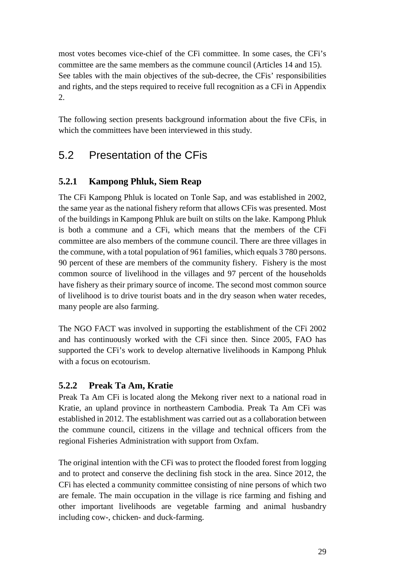most votes becomes vice-chief of the CFi committee. In some cases, the CFi's committee are the same members as the commune council (Articles 14 and 15). See tables with the main objectives of the sub-decree, the CFis' responsibilities and rights, and the steps required to receive full recognition as a CFi in Appendix 2.

The following section presents background information about the five CFis, in which the committees have been interviewed in this study.

## <span id="page-35-0"></span>5.2 Presentation of the CFis

### <span id="page-35-1"></span>**5.2.1 Kampong Phluk, Siem Reap**

The CFi Kampong Phluk is located on Tonle Sap, and was established in 2002, the same year as the national fishery reform that allows CFis was presented. Most of the buildings in Kampong Phluk are built on stilts on the lake. Kampong Phluk is both a commune and a CFi, which means that the members of the CFi committee are also members of the commune council. There are three villages in the commune, with a total population of 961 families, which equals 3 780 persons. 90 percent of these are members of the community fishery. Fishery is the most common source of livelihood in the villages and 97 percent of the households have fishery as their primary source of income. The second most common source of livelihood is to drive tourist boats and in the dry season when water recedes, many people are also farming.

The NGO FACT was involved in supporting the establishment of the CFi 2002 and has continuously worked with the CFi since then. Since 2005, FAO has supported the CFi's work to develop alternative livelihoods in Kampong Phluk with a focus on ecotourism.

#### <span id="page-35-2"></span>**5.2.2 Preak Ta Am, Kratie**

Preak Ta Am CFi is located along the Mekong river next to a national road in Kratie, an upland province in northeastern Cambodia. Preak Ta Am CFi was established in 2012. The establishment was carried out as a collaboration between the commune council, citizens in the village and technical officers from the regional Fisheries Administration with support from Oxfam.

The original intention with the CFi was to protect the flooded forest from logging and to protect and conserve the declining fish stock in the area. Since 2012, the CFi has elected a community committee consisting of nine persons of which two are female. The main occupation in the village is rice farming and fishing and other important livelihoods are vegetable farming and animal husbandry including cow-, chicken- and duck-farming.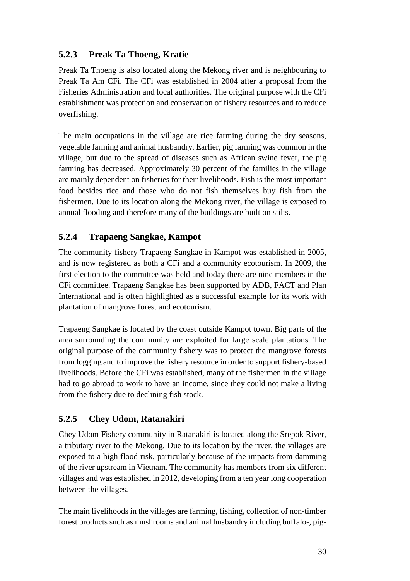### <span id="page-36-0"></span>**5.2.3 Preak Ta Thoeng, Kratie**

Preak Ta Thoeng is also located along the Mekong river and is neighbouring to Preak Ta Am CFi. The CFi was established in 2004 after a proposal from the Fisheries Administration and local authorities. The original purpose with the CFi establishment was protection and conservation of fishery resources and to reduce overfishing.

The main occupations in the village are rice farming during the dry seasons, vegetable farming and animal husbandry. Earlier, pig farming was common in the village, but due to the spread of diseases such as African swine fever, the pig farming has decreased. Approximately 30 percent of the families in the village are mainly dependent on fisheries for their livelihoods. Fish is the most important food besides rice and those who do not fish themselves buy fish from the fishermen. Due to its location along the Mekong river, the village is exposed to annual flooding and therefore many of the buildings are built on stilts.

### <span id="page-36-1"></span>**5.2.4 Trapaeng Sangkae, Kampot**

The community fishery Trapaeng Sangkae in Kampot was established in 2005, and is now registered as both a CFi and a community ecotourism. In 2009, the first election to the committee was held and today there are nine members in the CFi committee. Trapaeng Sangkae has been supported by ADB, FACT and Plan International and is often highlighted as a successful example for its work with plantation of mangrove forest and ecotourism.

Trapaeng Sangkae is located by the coast outside Kampot town. Big parts of the area surrounding the community are exploited for large scale plantations. The original purpose of the community fishery was to protect the mangrove forests from logging and to improve the fishery resource in order to support fishery-based livelihoods. Before the CFi was established, many of the fishermen in the village had to go abroad to work to have an income, since they could not make a living from the fishery due to declining fish stock.

### <span id="page-36-2"></span>**5.2.5 Chey Udom, Ratanakiri**

Chey Udom Fishery community in Ratanakiri is located along the Srepok River, a tributary river to the Mekong. Due to its location by the river, the villages are exposed to a high flood risk, particularly because of the impacts from damming of the river upstream in Vietnam. The community has members from six different villages and was established in 2012, developing from a ten year long cooperation between the villages.

The main livelihoods in the villages are farming, fishing, collection of non-timber forest products such as mushrooms and animal husbandry including buffalo-, pig-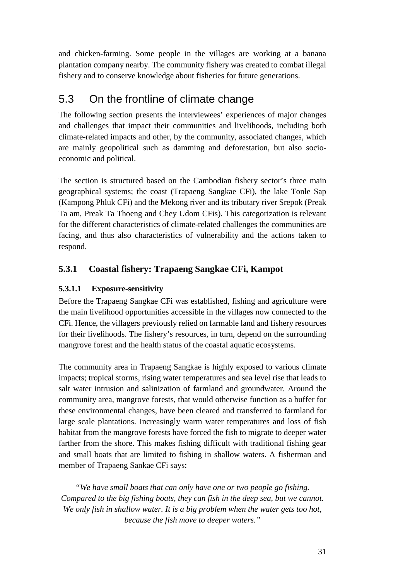and chicken-farming. Some people in the villages are working at a banana plantation company nearby. The community fishery was created to combat illegal fishery and to conserve knowledge about fisheries for future generations.

## <span id="page-37-0"></span>5.3 On the frontline of climate change

The following section presents the interviewees' experiences of major changes and challenges that impact their communities and livelihoods, including both climate-related impacts and other, by the community, associated changes, which are mainly geopolitical such as damming and deforestation, but also socioeconomic and political.

The section is structured based on the Cambodian fishery sector's three main geographical systems; the coast (Trapaeng Sangkae CFi), the lake Tonle Sap (Kampong Phluk CFi) and the Mekong river and its tributary river Srepok (Preak Ta am, Preak Ta Thoeng and Chey Udom CFis). This categorization is relevant for the different characteristics of climate-related challenges the communities are facing, and thus also characteristics of vulnerability and the actions taken to respond.

### <span id="page-37-1"></span>**5.3.1 Coastal fishery: Trapaeng Sangkae CFi, Kampot**

### <span id="page-37-2"></span>**5.3.1.1 Exposure-sensitivity**

Before the Trapaeng Sangkae CFi was established, fishing and agriculture were the main livelihood opportunities accessible in the villages now connected to the CFi. Hence, the villagers previously relied on farmable land and fishery resources for their livelihoods. The fishery's resources, in turn, depend on the surrounding mangrove forest and the health status of the coastal aquatic ecosystems.

The community area in Trapaeng Sangkae is highly exposed to various climate impacts; tropical storms, rising water temperatures and sea level rise that leads to salt water intrusion and salinization of farmland and groundwater. Around the community area, mangrove forests, that would otherwise function as a buffer for these environmental changes, have been cleared and transferred to farmland for large scale plantations. Increasingly warm water temperatures and loss of fish habitat from the mangrove forests have forced the fish to migrate to deeper water farther from the shore. This makes fishing difficult with traditional fishing gear and small boats that are limited to fishing in shallow waters. A fisherman and member of Trapaeng Sankae CFi says:

*"We have small boats that can only have one or two people go fishing. Compared to the big fishing boats, they can fish in the deep sea, but we cannot. We only fish in shallow water. It is a big problem when the water gets too hot, because the fish move to deeper waters."*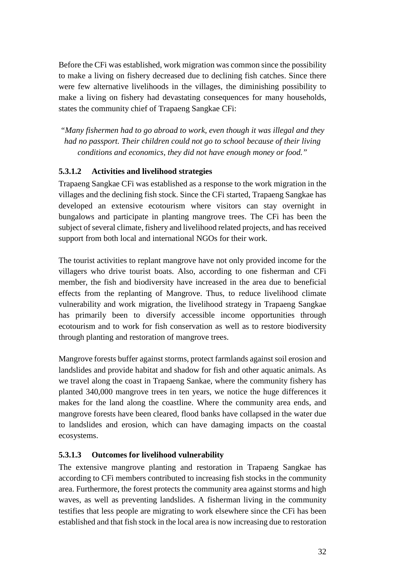Before the CFi was established, work migration was common since the possibility to make a living on fishery decreased due to declining fish catches. Since there were few alternative livelihoods in the villages, the diminishing possibility to make a living on fishery had devastating consequences for many households, states the community chief of Trapaeng Sangkae CFi:

*"Many fishermen had to go abroad to work, even though it was illegal and they had no passport. Their children could not go to school because of their living conditions and economics, they did not have enough money or food."*

#### <span id="page-38-0"></span>**5.3.1.2 Activities and livelihood strategies**

Trapaeng Sangkae CFi was established as a response to the work migration in the villages and the declining fish stock. Since the CFi started, Trapaeng Sangkae has developed an extensive ecotourism where visitors can stay overnight in bungalows and participate in planting mangrove trees. The CFi has been the subject of several climate, fishery and livelihood related projects, and has received support from both local and international NGOs for their work.

The tourist activities to replant mangrove have not only provided income for the villagers who drive tourist boats. Also, according to one fisherman and CFi member, the fish and biodiversity have increased in the area due to beneficial effects from the replanting of Mangrove. Thus, to reduce livelihood climate vulnerability and work migration, the livelihood strategy in Trapaeng Sangkae has primarily been to diversify accessible income opportunities through ecotourism and to work for fish conservation as well as to restore biodiversity through planting and restoration of mangrove trees.

Mangrove forests buffer against storms, protect farmlands against soil erosion and landslides and provide habitat and shadow for fish and other aquatic animals. As we travel along the coast in Trapaeng Sankae, where the community fishery has planted 340,000 mangrove trees in ten years, we notice the huge differences it makes for the land along the coastline. Where the community area ends, and mangrove forests have been cleared, flood banks have collapsed in the water due to landslides and erosion, which can have damaging impacts on the coastal ecosystems.

#### <span id="page-38-1"></span>**5.3.1.3 Outcomes for livelihood vulnerability**

The extensive mangrove planting and restoration in Trapaeng Sangkae has according to CFi members contributed to increasing fish stocks in the community area. Furthermore, the forest protects the community area against storms and high waves, as well as preventing landslides. A fisherman living in the community testifies that less people are migrating to work elsewhere since the CFi has been established and that fish stock in the local area is now increasing due to restoration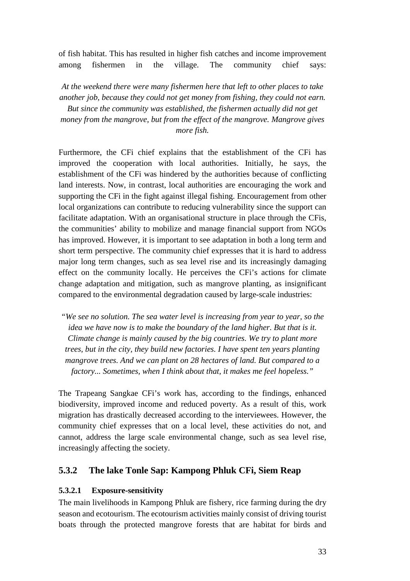of fish habitat. This has resulted in higher fish catches and income improvement among fishermen in the village. The community chief says:

*At the weekend there were many fishermen here that left to other places to take another job, because they could not get money from fishing, they could not earn. But since the community was established, the fishermen actually did not get money from the mangrove, but from the effect of the mangrove. Mangrove gives more fish.*

Furthermore, the CFi chief explains that the establishment of the CFi has improved the cooperation with local authorities. Initially, he says, the establishment of the CFi was hindered by the authorities because of conflicting land interests. Now, in contrast, local authorities are encouraging the work and supporting the CFi in the fight against illegal fishing. Encouragement from other local organizations can contribute to reducing vulnerability since the support can facilitate adaptation. With an organisational structure in place through the CFis, the communities' ability to mobilize and manage financial support from NGOs has improved. However, it is important to see adaptation in both a long term and short term perspective. The community chief expresses that it is hard to address major long term changes, such as sea level rise and its increasingly damaging effect on the community locally. He perceives the CFi's actions for climate change adaptation and mitigation, such as mangrove planting, as insignificant compared to the environmental degradation caused by large-scale industries:

*"We see no solution. The sea water level is increasing from year to year, so the idea we have now is to make the boundary of the land higher. But that is it. Climate change is mainly caused by the big countries. We try to plant more trees, but in the city, they build new factories. I have spent ten years planting mangrove trees. And we can plant on 28 hectares of land. But compared to a factory... Sometimes, when I think about that, it makes me feel hopeless."*

The Trapeang Sangkae CFi's work has, according to the findings, enhanced biodiversity, improved income and reduced poverty. As a result of this, work migration has drastically decreased according to the interviewees. However, the community chief expresses that on a local level, these activities do not, and cannot, address the large scale environmental change, such as sea level rise, increasingly affecting the society.

#### <span id="page-39-0"></span>**5.3.2 The lake Tonle Sap: Kampong Phluk CFi, Siem Reap**

#### <span id="page-39-1"></span>**5.3.2.1 Exposure-sensitivity**

The main livelihoods in Kampong Phluk are fishery, rice farming during the dry season and ecotourism. The ecotourism activities mainly consist of driving tourist boats through the protected mangrove forests that are habitat for birds and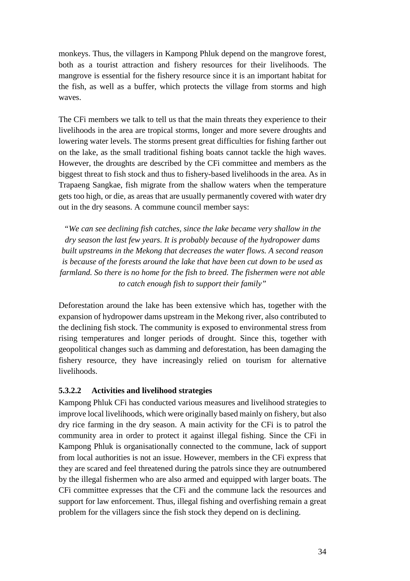monkeys. Thus, the villagers in Kampong Phluk depend on the mangrove forest, both as a tourist attraction and fishery resources for their livelihoods. The mangrove is essential for the fishery resource since it is an important habitat for the fish, as well as a buffer, which protects the village from storms and high waves.

The CFi members we talk to tell us that the main threats they experience to their livelihoods in the area are tropical storms, longer and more severe droughts and lowering water levels. The storms present great difficulties for fishing farther out on the lake, as the small traditional fishing boats cannot tackle the high waves. However, the droughts are described by the CFi committee and members as the biggest threat to fish stock and thus to fishery-based livelihoods in the area. As in Trapaeng Sangkae, fish migrate from the shallow waters when the temperature gets too high, or die, as areas that are usually permanently covered with water dry out in the dry seasons. A commune council member says:

*"We can see declining fish catches, since the lake became very shallow in the dry season the last few years. It is probably because of the hydropower dams built upstreams in the Mekong that decreases the water flows. A second reason is because of the forests around the lake that have been cut down to be used as farmland. So there is no home for the fish to breed. The fishermen were not able to catch enough fish to support their family"*

Deforestation around the lake has been extensive which has, together with the expansion of hydropower dams upstream in the Mekong river, also contributed to the declining fish stock. The community is exposed to environmental stress from rising temperatures and longer periods of drought. Since this, together with geopolitical changes such as damming and deforestation, has been damaging the fishery resource, they have increasingly relied on tourism for alternative livelihoods.

#### <span id="page-40-0"></span>**5.3.2.2 Activities and livelihood strategies**

Kampong Phluk CFi has conducted various measures and livelihood strategies to improve local livelihoods, which were originally based mainly on fishery, but also dry rice farming in the dry season. A main activity for the CFi is to patrol the community area in order to protect it against illegal fishing. Since the CFi in Kampong Phluk is organisationally connected to the commune, lack of support from local authorities is not an issue. However, members in the CFi express that they are scared and feel threatened during the patrols since they are outnumbered by the illegal fishermen who are also armed and equipped with larger boats. The CFi committee expresses that the CFi and the commune lack the resources and support for law enforcement. Thus, illegal fishing and overfishing remain a great problem for the villagers since the fish stock they depend on is declining.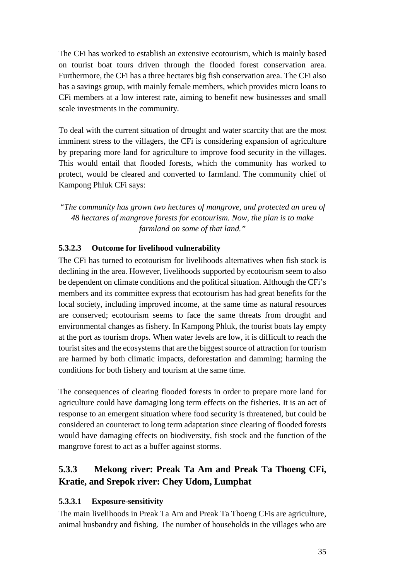The CFi has worked to establish an extensive ecotourism, which is mainly based on tourist boat tours driven through the flooded forest conservation area. Furthermore, the CFi has a three hectares big fish conservation area. The CFi also has a savings group, with mainly female members, which provides micro loans to CFi members at a low interest rate, aiming to benefit new businesses and small scale investments in the community.

To deal with the current situation of drought and water scarcity that are the most imminent stress to the villagers, the CFi is considering expansion of agriculture by preparing more land for agriculture to improve food security in the villages. This would entail that flooded forests, which the community has worked to protect, would be cleared and converted to farmland. The community chief of Kampong Phluk CFi says:

*"The community has grown two hectares of mangrove, and protected an area of 48 hectares of mangrove forests for ecotourism. Now, the plan is to make farmland on some of that land."*

#### <span id="page-41-0"></span>**5.3.2.3 Outcome for livelihood vulnerability**

The CFi has turned to ecotourism for livelihoods alternatives when fish stock is declining in the area. However, livelihoods supported by ecotourism seem to also be dependent on climate conditions and the political situation. Although the CFi's members and its committee express that ecotourism has had great benefits for the local society, including improved income, at the same time as natural resources are conserved; ecotourism seems to face the same threats from drought and environmental changes as fishery. In Kampong Phluk, the tourist boats lay empty at the port as tourism drops. When water levels are low, it is difficult to reach the tourist sites and the ecosystems that are the biggest source of attraction for tourism are harmed by both climatic impacts, deforestation and damming; harming the conditions for both fishery and tourism at the same time.

The consequences of clearing flooded forests in order to prepare more land for agriculture could have damaging long term effects on the fisheries. It is an act of response to an emergent situation where food security is threatened, but could be considered an counteract to long term adaptation since clearing of flooded forests would have damaging effects on biodiversity, fish stock and the function of the mangrove forest to act as a buffer against storms.

### <span id="page-41-1"></span>**5.3.3 Mekong river: Preak Ta Am and Preak Ta Thoeng CFi, Kratie, and Srepok river: Chey Udom, Lumphat**

#### <span id="page-41-2"></span>**5.3.3.1 Exposure-sensitivity**

The main livelihoods in Preak Ta Am and Preak Ta Thoeng CFis are agriculture, animal husbandry and fishing. The number of households in the villages who are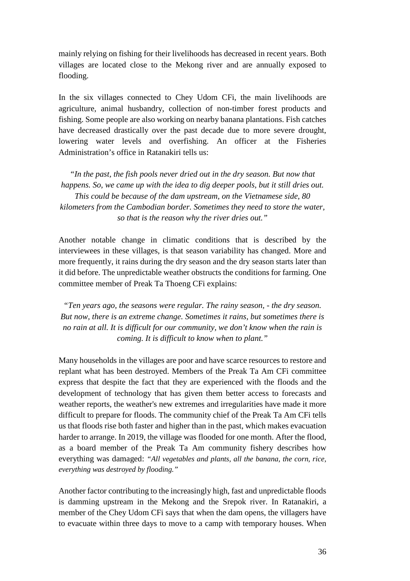mainly relying on fishing for their livelihoods has decreased in recent years. Both villages are located close to the Mekong river and are annually exposed to flooding.

In the six villages connected to Chey Udom CFi, the main livelihoods are agriculture, animal husbandry, collection of non-timber forest products and fishing. Some people are also working on nearby banana plantations. Fish catches have decreased drastically over the past decade due to more severe drought, lowering water levels and overfishing. An officer at the Fisheries Administration's office in Ratanakiri tells us:

*"In the past, the fish pools never dried out in the dry season. But now that happens. So, we came up with the idea to dig deeper pools, but it still dries out. This could be because of the dam upstream, on the Vietnamese side, 80 kilometers from the Cambodian border. Sometimes they need to store the water, so that is the reason why the river dries out."*

Another notable change in climatic conditions that is described by the interviewees in these villages, is that season variability has changed. More and more frequently, it rains during the dry season and the dry season starts later than it did before. The unpredictable weather obstructs the conditions for farming. One committee member of Preak Ta Thoeng CFi explains:

*"Ten years ago, the seasons were regular. The rainy season, - the dry season. But now, there is an extreme change. Sometimes it rains, but sometimes there is no rain at all. It is difficult for our community, we don't know when the rain is coming. It is difficult to know when to plant."*

Many households in the villages are poor and have scarce resources to restore and replant what has been destroyed. Members of the Preak Ta Am CFi committee express that despite the fact that they are experienced with the floods and the development of technology that has given them better access to forecasts and weather reports, the weather's new extremes and irregularities have made it more difficult to prepare for floods. The community chief of the Preak Ta Am CFi tells us that floods rise both faster and higher than in the past, which makes evacuation harder to arrange. In 2019, the village was flooded for one month. After the flood, as a board member of the Preak Ta Am community fishery describes how everything was damaged: *"All vegetables and plants, all the banana, the corn, rice, everything was destroyed by flooding."*

Another factor contributing to the increasingly high, fast and unpredictable floods is damming upstream in the Mekong and the Srepok river. In Ratanakiri, a member of the Chey Udom CFi says that when the dam opens, the villagers have to evacuate within three days to move to a camp with temporary houses. When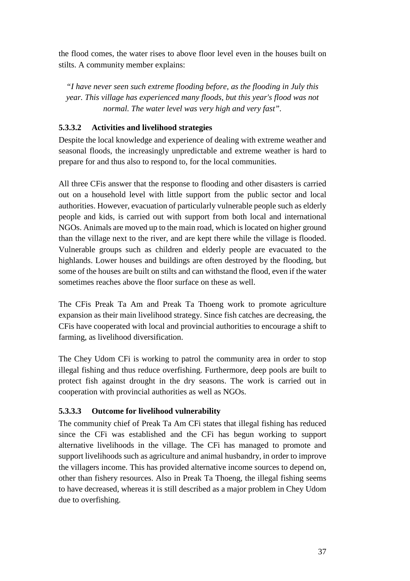the flood comes, the water rises to above floor level even in the houses built on stilts. A community member explains:

*"I have never seen such extreme flooding before, as the flooding in July this year. This village has experienced many floods, but this year's flood was not normal. The water level was very high and very fast".*

#### <span id="page-43-0"></span>**5.3.3.2 Activities and livelihood strategies**

Despite the local knowledge and experience of dealing with extreme weather and seasonal floods, the increasingly unpredictable and extreme weather is hard to prepare for and thus also to respond to, for the local communities.

All three CFis answer that the response to flooding and other disasters is carried out on a household level with little support from the public sector and local authorities. However, evacuation of particularly vulnerable people such as elderly people and kids, is carried out with support from both local and international NGOs. Animals are moved up to the main road, which is located on higher ground than the village next to the river, and are kept there while the village is flooded. Vulnerable groups such as children and elderly people are evacuated to the highlands. Lower houses and buildings are often destroyed by the flooding, but some of the houses are built on stilts and can withstand the flood, even if the water sometimes reaches above the floor surface on these as well.

The CFis Preak Ta Am and Preak Ta Thoeng work to promote agriculture expansion as their main livelihood strategy. Since fish catches are decreasing, the CFis have cooperated with local and provincial authorities to encourage a shift to farming, as livelihood diversification.

The Chey Udom CFi is working to patrol the community area in order to stop illegal fishing and thus reduce overfishing. Furthermore, deep pools are built to protect fish against drought in the dry seasons. The work is carried out in cooperation with provincial authorities as well as NGOs.

#### <span id="page-43-1"></span>**5.3.3.3 Outcome for livelihood vulnerability**

The community chief of Preak Ta Am CFi states that illegal fishing has reduced since the CFi was established and the CFi has begun working to support alternative livelihoods in the village. The CFi has managed to promote and support livelihoods such as agriculture and animal husbandry, in order to improve the villagers income. This has provided alternative income sources to depend on, other than fishery resources. Also in Preak Ta Thoeng, the illegal fishing seems to have decreased, whereas it is still described as a major problem in Chey Udom due to overfishing.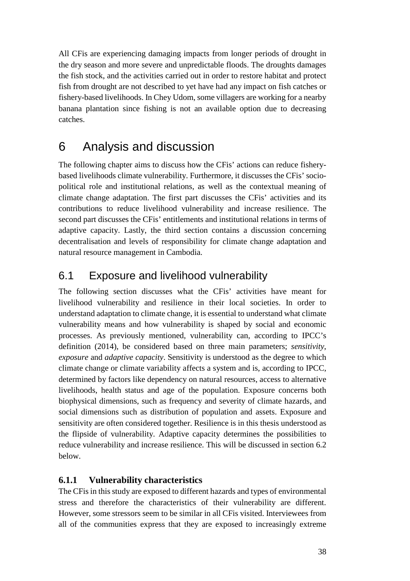All CFis are experiencing damaging impacts from longer periods of drought in the dry season and more severe and unpredictable floods. The droughts damages the fish stock, and the activities carried out in order to restore habitat and protect fish from drought are not described to yet have had any impact on fish catches or fishery-based livelihoods. In Chey Udom, some villagers are working for a nearby banana plantation since fishing is not an available option due to decreasing catches.

# <span id="page-44-0"></span>6 Analysis and discussion

The following chapter aims to discuss how the CFis' actions can reduce fisherybased livelihoods climate vulnerability. Furthermore, it discusses the CFis' sociopolitical role and institutional relations, as well as the contextual meaning of climate change adaptation. The first part discusses the CFis' activities and its contributions to reduce livelihood vulnerability and increase resilience. The second part discusses the CFis' entitlements and institutional relations in terms of adaptive capacity. Lastly, the third section contains a discussion concerning decentralisation and levels of responsibility for climate change adaptation and natural resource management in Cambodia.

## <span id="page-44-1"></span>6.1 Exposure and livelihood vulnerability

The following section discusses what the CFis' activities have meant for livelihood vulnerability and resilience in their local societies. In order to understand adaptation to climate change, it is essential to understand what climate vulnerability means and how vulnerability is shaped by social and economic processes. As previously mentioned, vulnerability can, according to IPCC's definition (2014), be considered based on three main parameters; *sensitivity*, *exposure* and *adaptive capacity*. Sensitivity is understood as the degree to which climate change or climate variability affects a system and is, according to IPCC, determined by factors like dependency on natural resources, access to alternative livelihoods, health status and age of the population. Exposure concerns both biophysical dimensions, such as frequency and severity of climate hazards, and social dimensions such as distribution of population and assets. Exposure and sensitivity are often considered together. Resilience is in this thesis understood as the flipside of vulnerability. Adaptive capacity determines the possibilities to reduce vulnerability and increase resilience. This will be discussed in section 6.2 below.

### <span id="page-44-2"></span>**6.1.1 Vulnerability characteristics**

The CFis in this study are exposed to different hazards and types of environmental stress and therefore the characteristics of their vulnerability are different. However, some stressors seem to be similar in all CFis visited. Interviewees from all of the communities express that they are exposed to increasingly extreme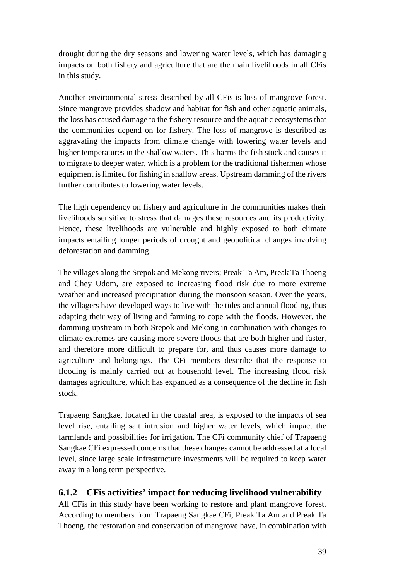drought during the dry seasons and lowering water levels, which has damaging impacts on both fishery and agriculture that are the main livelihoods in all CFis in this study.

Another environmental stress described by all CFis is loss of mangrove forest. Since mangrove provides shadow and habitat for fish and other aquatic animals, the loss has caused damage to the fishery resource and the aquatic ecosystems that the communities depend on for fishery. The loss of mangrove is described as aggravating the impacts from climate change with lowering water levels and higher temperatures in the shallow waters. This harms the fish stock and causes it to migrate to deeper water, which is a problem for the traditional fishermen whose equipment is limited for fishing in shallow areas. Upstream damming of the rivers further contributes to lowering water levels.

The high dependency on fishery and agriculture in the communities makes their livelihoods sensitive to stress that damages these resources and its productivity. Hence, these livelihoods are vulnerable and highly exposed to both climate impacts entailing longer periods of drought and geopolitical changes involving deforestation and damming.

The villages along the Srepok and Mekong rivers; Preak Ta Am, Preak Ta Thoeng and Chey Udom, are exposed to increasing flood risk due to more extreme weather and increased precipitation during the monsoon season. Over the years, the villagers have developed ways to live with the tides and annual flooding, thus adapting their way of living and farming to cope with the floods. However, the damming upstream in both Srepok and Mekong in combination with changes to climate extremes are causing more severe floods that are both higher and faster, and therefore more difficult to prepare for, and thus causes more damage to agriculture and belongings. The CFi members describe that the response to flooding is mainly carried out at household level. The increasing flood risk damages agriculture, which has expanded as a consequence of the decline in fish stock.

Trapaeng Sangkae, located in the coastal area, is exposed to the impacts of sea level rise, entailing salt intrusion and higher water levels, which impact the farmlands and possibilities for irrigation. The CFi community chief of Trapaeng Sangkae CFi expressed concerns that these changes cannot be addressed at a local level, since large scale infrastructure investments will be required to keep water away in a long term perspective.

### <span id="page-45-0"></span>**6.1.2 CFis activities' impact for reducing livelihood vulnerability**

All CFis in this study have been working to restore and plant mangrove forest. According to members from Trapaeng Sangkae CFi, Preak Ta Am and Preak Ta Thoeng, the restoration and conservation of mangrove have, in combination with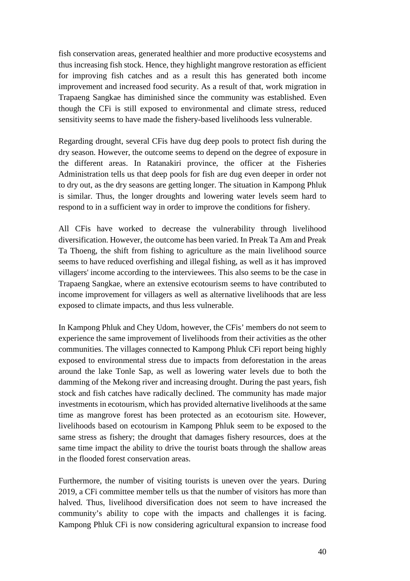fish conservation areas, generated healthier and more productive ecosystems and thus increasing fish stock. Hence, they highlight mangrove restoration as efficient for improving fish catches and as a result this has generated both income improvement and increased food security. As a result of that, work migration in Trapaeng Sangkae has diminished since the community was established. Even though the CFi is still exposed to environmental and climate stress, reduced sensitivity seems to have made the fishery-based livelihoods less vulnerable.

Regarding drought, several CFis have dug deep pools to protect fish during the dry season. However, the outcome seems to depend on the degree of exposure in the different areas. In Ratanakiri province, the officer at the Fisheries Administration tells us that deep pools for fish are dug even deeper in order not to dry out, as the dry seasons are getting longer. The situation in Kampong Phluk is similar. Thus, the longer droughts and lowering water levels seem hard to respond to in a sufficient way in order to improve the conditions for fishery.

All CFis have worked to decrease the vulnerability through livelihood diversification. However, the outcome has been varied. In Preak Ta Am and Preak Ta Thoeng, the shift from fishing to agriculture as the main livelihood source seems to have reduced overfishing and illegal fishing, as well as it has improved villagers' income according to the interviewees. This also seems to be the case in Trapaeng Sangkae, where an extensive ecotourism seems to have contributed to income improvement for villagers as well as alternative livelihoods that are less exposed to climate impacts, and thus less vulnerable.

In Kampong Phluk and Chey Udom, however, the CFis' members do not seem to experience the same improvement of livelihoods from their activities as the other communities. The villages connected to Kampong Phluk CFi report being highly exposed to environmental stress due to impacts from deforestation in the areas around the lake Tonle Sap, as well as lowering water levels due to both the damming of the Mekong river and increasing drought. During the past years, fish stock and fish catches have radically declined. The community has made major investments in ecotourism, which has provided alternative livelihoods at the same time as mangrove forest has been protected as an ecotourism site. However, livelihoods based on ecotourism in Kampong Phluk seem to be exposed to the same stress as fishery; the drought that damages fishery resources, does at the same time impact the ability to drive the tourist boats through the shallow areas in the flooded forest conservation areas.

Furthermore, the number of visiting tourists is uneven over the years. During 2019, a CFi committee member tells us that the number of visitors has more than halved. Thus, livelihood diversification does not seem to have increased the community's ability to cope with the impacts and challenges it is facing. Kampong Phluk CFi is now considering agricultural expansion to increase food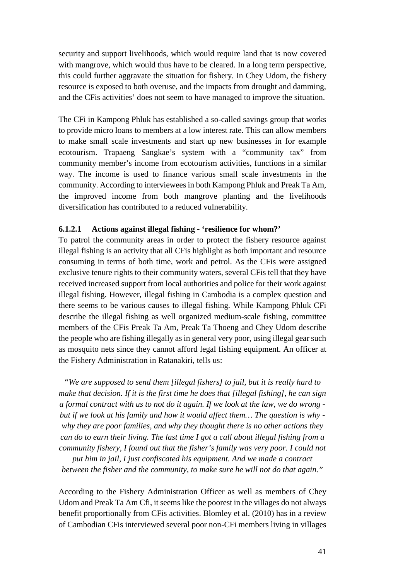security and support livelihoods, which would require land that is now covered with mangrove, which would thus have to be cleared. In a long term perspective, this could further aggravate the situation for fishery. In Chey Udom, the fishery resource is exposed to both overuse, and the impacts from drought and damming, and the CFis activities' does not seem to have managed to improve the situation.

The CFi in Kampong Phluk has established a so-called savings group that works to provide micro loans to members at a low interest rate. This can allow members to make small scale investments and start up new businesses in for example ecotourism. Trapaeng Sangkae's system with a "community tax" from community member's income from ecotourism activities, functions in a similar way. The income is used to finance various small scale investments in the community. According to interviewees in both Kampong Phluk and Preak Ta Am, the improved income from both mangrove planting and the livelihoods diversification has contributed to a reduced vulnerability.

#### <span id="page-47-0"></span>**6.1.2.1 Actions against illegal fishing - 'resilience for whom?'**

To patrol the community areas in order to protect the fishery resource against illegal fishing is an activity that all CFis highlight as both important and resource consuming in terms of both time, work and petrol. As the CFis were assigned exclusive tenure rights to their community waters, several CFis tell that they have received increased support from local authorities and police for their work against illegal fishing. However, illegal fishing in Cambodia is a complex question and there seems to be various causes to illegal fishing. While Kampong Phluk CFi describe the illegal fishing as well organized medium-scale fishing, committee members of the CFis Preak Ta Am, Preak Ta Thoeng and Chey Udom describe the people who are fishing illegally as in general very poor, using illegal gear such as mosquito nets since they cannot afford legal fishing equipment. An officer at the Fishery Administration in Ratanakiri, tells us:

*"We are supposed to send them [illegal fishers] to jail, but it is really hard to make that decision. If it is the first time he does that [illegal fishing], he can sign a formal contract with us to not do it again. If we look at the law, we do wrong but if we look at his family and how it would affect them… The question is why why they are poor families, and why they thought there is no other actions they can do to earn their living. The last time I got a call about illegal fishing from a community fishery, I found out that the fisher's family was very poor. I could not* 

*put him in jail, I just confiscated his equipment. And we made a contract between the fisher and the community, to make sure he will not do that again."*

According to the Fishery Administration Officer as well as members of Chey Udom and Preak Ta Am Cfi, it seems like the poorest in the villages do not always benefit proportionally from CFis activities. Blomley et al. (2010) has in a review of Cambodian CFis interviewed several poor non-CFi members living in villages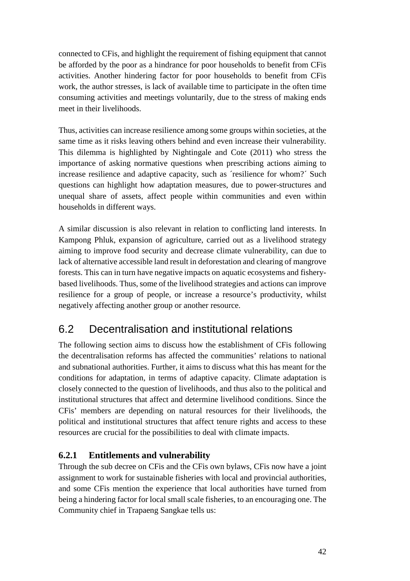connected to CFis, and highlight the requirement of fishing equipment that cannot be afforded by the poor as a hindrance for poor households to benefit from CFis activities. Another hindering factor for poor households to benefit from CFis work, the author stresses, is lack of available time to participate in the often time consuming activities and meetings voluntarily, due to the stress of making ends meet in their livelihoods.

Thus, activities can increase resilience among some groups within societies, at the same time as it risks leaving others behind and even increase their vulnerability. This dilemma is highlighted by Nightingale and Cote (2011) who stress the importance of asking normative questions when prescribing actions aiming to increase resilience and adaptive capacity, such as ´resilience for whom?´ Such questions can highlight how adaptation measures, due to power-structures and unequal share of assets, affect people within communities and even within households in different ways.

A similar discussion is also relevant in relation to conflicting land interests. In Kampong Phluk, expansion of agriculture, carried out as a livelihood strategy aiming to improve food security and decrease climate vulnerability, can due to lack of alternative accessible land result in deforestation and clearing of mangrove forests. This can in turn have negative impacts on aquatic ecosystems and fisherybased livelihoods. Thus, some of the livelihood strategies and actions can improve resilience for a group of people, or increase a resource's productivity, whilst negatively affecting another group or another resource.

## <span id="page-48-0"></span>6.2 Decentralisation and institutional relations

The following section aims to discuss how the establishment of CFis following the decentralisation reforms has affected the communities' relations to national and subnational authorities. Further, it aims to discuss what this has meant for the conditions for adaptation, in terms of adaptive capacity. Climate adaptation is closely connected to the question of livelihoods, and thus also to the political and institutional structures that affect and determine livelihood conditions. Since the CFis' members are depending on natural resources for their livelihoods, the political and institutional structures that affect tenure rights and access to these resources are crucial for the possibilities to deal with climate impacts.

### <span id="page-48-1"></span>**6.2.1 Entitlements and vulnerability**

Through the sub decree on CFis and the CFis own bylaws, CFis now have a joint assignment to work for sustainable fisheries with local and provincial authorities, and some CFis mention the experience that local authorities have turned from being a hindering factor for local small scale fisheries, to an encouraging one. The Community chief in Trapaeng Sangkae tells us: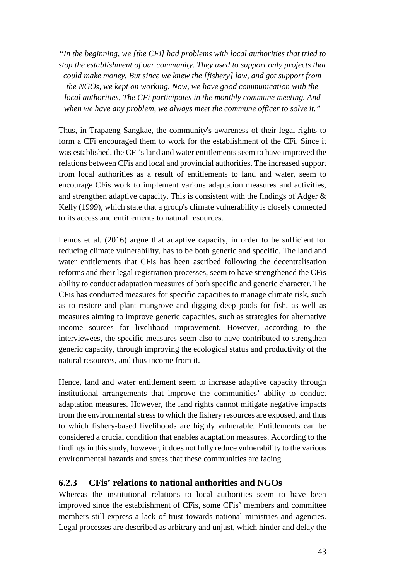*"In the beginning, we [the CFi] had problems with local authorities that tried to stop the establishment of our community. They used to support only projects that could make money. But since we knew the [fishery] law, and got support from the NGOs, we kept on working. Now, we have good communication with the local authorities, The CFi participates in the monthly commune meeting. And when we have any problem, we always meet the commune officer to solve it."*

Thus, in Trapaeng Sangkae, the community's awareness of their legal rights to form a CFi encouraged them to work for the establishment of the CFi. Since it was established, the CFi's land and water entitlements seem to have improved the relations between CFis and local and provincial authorities. The increased support from local authorities as a result of entitlements to land and water, seem to encourage CFis work to implement various adaptation measures and activities, and strengthen adaptive capacity. This is consistent with the findings of Adger & Kelly (1999), which state that a group's climate vulnerability is closely connected to its access and entitlements to natural resources.

Lemos et al. (2016) argue that adaptive capacity, in order to be sufficient for reducing climate vulnerability, has to be both generic and specific. The land and water entitlements that CFis has been ascribed following the decentralisation reforms and their legal registration processes, seem to have strengthened the CFis ability to conduct adaptation measures of both specific and generic character. The CFis has conducted measures for specific capacities to manage climate risk, such as to restore and plant mangrove and digging deep pools for fish, as well as measures aiming to improve generic capacities, such as strategies for alternative income sources for livelihood improvement. However, according to the interviewees, the specific measures seem also to have contributed to strengthen generic capacity, through improving the ecological status and productivity of the natural resources, and thus income from it.

Hence, land and water entitlement seem to increase adaptive capacity through institutional arrangements that improve the communities' ability to conduct adaptation measures. However, the land rights cannot mitigate negative impacts from the environmental stress to which the fishery resources are exposed, and thus to which fishery-based livelihoods are highly vulnerable. Entitlements can be considered a crucial condition that enables adaptation measures. According to the findings in this study, however, it does not fully reduce vulnerability to the various environmental hazards and stress that these communities are facing.

#### <span id="page-49-0"></span>**6.2.3 CFis' relations to national authorities and NGOs**

Whereas the institutional relations to local authorities seem to have been improved since the establishment of CFis, some CFis' members and committee members still express a lack of trust towards national ministries and agencies. Legal processes are described as arbitrary and unjust, which hinder and delay the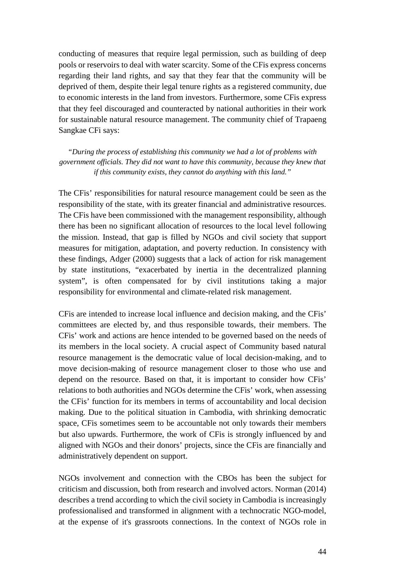conducting of measures that require legal permission, such as building of deep pools or reservoirs to deal with water scarcity. Some of the CFis express concerns regarding their land rights, and say that they fear that the community will be deprived of them, despite their legal tenure rights as a registered community, due to economic interests in the land from investors. Furthermore, some CFis express that they feel discouraged and counteracted by national authorities in their work for sustainable natural resource management. The community chief of Trapaeng Sangkae CFi says:

*"During the process of establishing this community we had a lot of problems with government officials. They did not want to have this community, because they knew that if this community exists, they cannot do anything with this land."*

The CFis' responsibilities for natural resource management could be seen as the responsibility of the state, with its greater financial and administrative resources. The CFis have been commissioned with the management responsibility, although there has been no significant allocation of resources to the local level following the mission. Instead, that gap is filled by NGOs and civil society that support measures for mitigation, adaptation, and poverty reduction. In consistency with these findings, Adger (2000) suggests that a lack of action for risk management by state institutions, "exacerbated by inertia in the decentralized planning system", is often compensated for by civil institutions taking a major responsibility for environmental and climate-related risk management.

CFis are intended to increase local influence and decision making, and the CFis' committees are elected by, and thus responsible towards, their members. The CFis' work and actions are hence intended to be governed based on the needs of its members in the local society. A crucial aspect of Community based natural resource management is the democratic value of local decision-making, and to move decision-making of resource management closer to those who use and depend on the resource. Based on that, it is important to consider how CFis' relations to both authorities and NGOs determine the CFis' work, when assessing the CFis' function for its members in terms of accountability and local decision making. Due to the political situation in Cambodia, with shrinking democratic space, CFis sometimes seem to be accountable not only towards their members but also upwards. Furthermore, the work of CFis is strongly influenced by and aligned with NGOs and their donors' projects, since the CFis are financially and administratively dependent on support.

NGOs involvement and connection with the CBOs has been the subject for criticism and discussion, both from research and involved actors. Norman (2014) describes a trend according to which the civil society in Cambodia is increasingly professionalised and transformed in alignment with a technocratic NGO-model, at the expense of it's grassroots connections. In the context of NGOs role in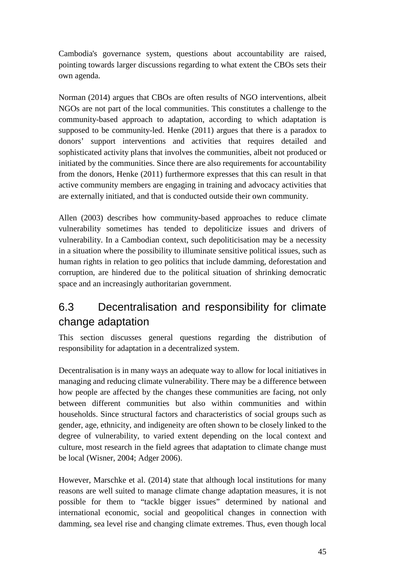Cambodia's governance system, questions about accountability are raised, pointing towards larger discussions regarding to what extent the CBOs sets their own agenda.

Norman (2014) argues that CBOs are often results of NGO interventions, albeit NGOs are not part of the local communities. This constitutes a challenge to the community-based approach to adaptation, according to which adaptation is supposed to be community-led. Henke (2011) argues that there is a paradox to donors' support interventions and activities that requires detailed and sophisticated activity plans that involves the communities, albeit not produced or initiated by the communities. Since there are also requirements for accountability from the donors, Henke (2011) furthermore expresses that this can result in that active community members are engaging in training and advocacy activities that are externally initiated, and that is conducted outside their own community.

Allen (2003) describes how community-based approaches to reduce climate vulnerability sometimes has tended to depoliticize issues and drivers of vulnerability. In a Cambodian context, such depoliticisation may be a necessity in a situation where the possibility to illuminate sensitive political issues, such as human rights in relation to geo politics that include damming, deforestation and corruption, are hindered due to the political situation of shrinking democratic space and an increasingly authoritarian government.

## <span id="page-51-0"></span>6.3 Decentralisation and responsibility for climate change adaptation

This section discusses general questions regarding the distribution of responsibility for adaptation in a decentralized system.

Decentralisation is in many ways an adequate way to allow for local initiatives in managing and reducing climate vulnerability. There may be a difference between how people are affected by the changes these communities are facing, not only between different communities but also within communities and within households. Since structural factors and characteristics of social groups such as gender, age, ethnicity, and indigeneity are often shown to be closely linked to the degree of vulnerability, to varied extent depending on the local context and culture, most research in the field agrees that adaptation to climate change must be local (Wisner, 2004; Adger 2006).

However, Marschke et al. (2014) state that although local institutions for many reasons are well suited to manage climate change adaptation measures, it is not possible for them to "tackle bigger issues" determined by national and international economic, social and geopolitical changes in connection with damming, sea level rise and changing climate extremes. Thus, even though local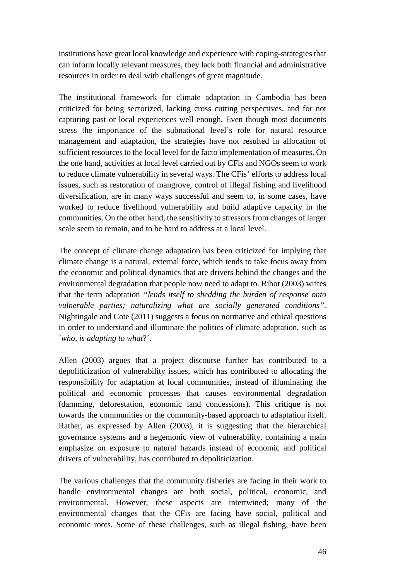institutions have great local knowledge and experience with coping-strategies that can inform locally relevant measures, they lack both financial and administrative resources in order to deal with challenges of great magnitude.

The institutional framework for climate adaptation in Cambodia has been criticized for being sectorized, lacking cross cutting perspectives, and for not capturing past or local experiences well enough. Even though most documents stress the importance of the subnational level's role for natural resource management and adaptation, the strategies have not resulted in allocation of sufficient resources to the local level for de facto implementation of measures. On the one hand, activities at local level carried out by CFis and NGOs seem to work to reduce climate vulnerability in several ways. The CFis' efforts to address local issues, such as restoration of mangrove, control of illegal fishing and livelihood diversification, are in many ways successful and seem to, in some cases, have worked to reduce livelihood vulnerability and build adaptive capacity in the communities. On the other hand, the sensitivity to stressors from changes of larger scale seem to remain, and to be hard to address at a local level.

The concept of climate change adaptation has been criticized for implying that climate change is a natural, external force, which tends to take focus away from the economic and political dynamics that are drivers behind the changes and the environmental degradation that people now need to adapt to. Ribot (2003) writes that the term adaptation *"lends itself to shedding the burden of response onto vulnerable parties; naturalizing what are socially generated conditions".*  Nightingale and Cote (2011) suggests a focus on normative and ethical questions in order to understand and illuminate the politics of climate adaptation, such as ´*who, is adapting to what*?´.

Allen (2003) argues that a project discourse further has contributed to a depoliticization of vulnerability issues, which has contributed to allocating the responsibility for adaptation at local communities, instead of illuminating the political and economic processes that causes environmental degradation (damming, deforestation, economic land concessions). This critique is not towards the communities or the community-based approach to adaptation itself. Rather, as expressed by Allen (2003), it is suggesting that the hierarchical governance systems and a hegemonic view of vulnerability, containing a main emphasize on exposure to natural hazards instead of economic and political drivers of vulnerability, has contributed to depoliticization.

The various challenges that the community fisheries are facing in their work to handle environmental changes are both social, political, economic, and environmental. However, these aspects are intertwined; many of the environmental changes that the CFis are facing have social, political and economic roots. Some of these challenges, such as illegal fishing, have been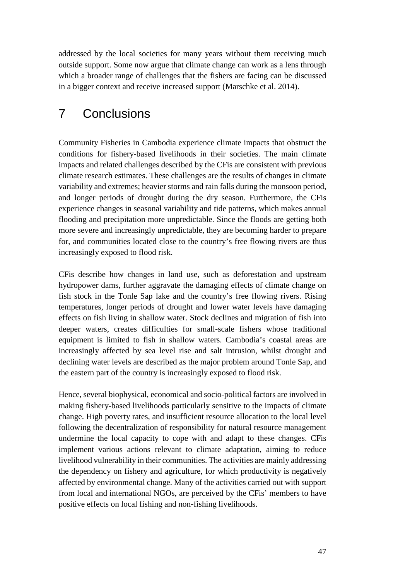addressed by the local societies for many years without them receiving much outside support. Some now argue that climate change can work as a lens through which a broader range of challenges that the fishers are facing can be discussed in a bigger context and receive increased support (Marschke et al. 2014).

# <span id="page-53-0"></span>7 Conclusions

Community Fisheries in Cambodia experience climate impacts that obstruct the conditions for fishery-based livelihoods in their societies. The main climate impacts and related challenges described by the CFis are consistent with previous climate research estimates. These challenges are the results of changes in climate variability and extremes; heavier storms and rain falls during the monsoon period, and longer periods of drought during the dry season. Furthermore, the CFis experience changes in seasonal variability and tide patterns, which makes annual flooding and precipitation more unpredictable. Since the floods are getting both more severe and increasingly unpredictable, they are becoming harder to prepare for, and communities located close to the country's free flowing rivers are thus increasingly exposed to flood risk.

CFis describe how changes in land use, such as deforestation and upstream hydropower dams, further aggravate the damaging effects of climate change on fish stock in the Tonle Sap lake and the country's free flowing rivers. Rising temperatures, longer periods of drought and lower water levels have damaging effects on fish living in shallow water. Stock declines and migration of fish into deeper waters, creates difficulties for small-scale fishers whose traditional equipment is limited to fish in shallow waters. Cambodia's coastal areas are increasingly affected by sea level rise and salt intrusion, whilst drought and declining water levels are described as the major problem around Tonle Sap, and the eastern part of the country is increasingly exposed to flood risk.

Hence, several biophysical, economical and socio-political factors are involved in making fishery-based livelihoods particularly sensitive to the impacts of climate change. High poverty rates, and insufficient resource allocation to the local level following the decentralization of responsibility for natural resource management undermine the local capacity to cope with and adapt to these changes. CFis implement various actions relevant to climate adaptation, aiming to reduce livelihood vulnerability in their communities. The activities are mainly addressing the dependency on fishery and agriculture, for which productivity is negatively affected by environmental change. Many of the activities carried out with support from local and international NGOs, are perceived by the CFis' members to have positive effects on local fishing and non-fishing livelihoods.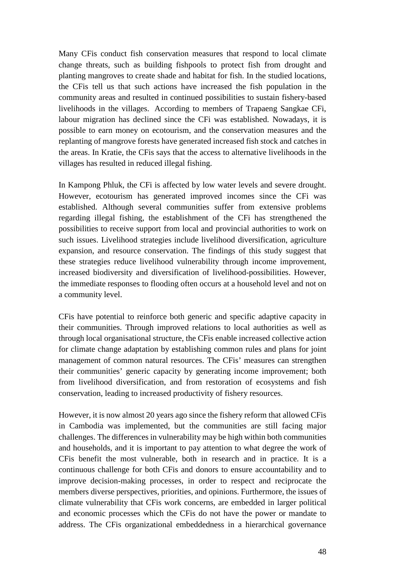Many CFis conduct fish conservation measures that respond to local climate change threats, such as building fishpools to protect fish from drought and planting mangroves to create shade and habitat for fish. In the studied locations, the CFis tell us that such actions have increased the fish population in the community areas and resulted in continued possibilities to sustain fishery-based livelihoods in the villages. According to members of Trapaeng Sangkae CFi, labour migration has declined since the CFi was established. Nowadays, it is possible to earn money on ecotourism, and the conservation measures and the replanting of mangrove forests have generated increased fish stock and catches in the areas. In Kratie, the CFis says that the access to alternative livelihoods in the villages has resulted in reduced illegal fishing.

In Kampong Phluk, the CFi is affected by low water levels and severe drought. However, ecotourism has generated improved incomes since the CFi was established. Although several communities suffer from extensive problems regarding illegal fishing, the establishment of the CFi has strengthened the possibilities to receive support from local and provincial authorities to work on such issues. Livelihood strategies include livelihood diversification, agriculture expansion, and resource conservation. The findings of this study suggest that these strategies reduce livelihood vulnerability through income improvement, increased biodiversity and diversification of livelihood-possibilities. However, the immediate responses to flooding often occurs at a household level and not on a community level.

CFis have potential to reinforce both generic and specific adaptive capacity in their communities. Through improved relations to local authorities as well as through local organisational structure, the CFis enable increased collective action for climate change adaptation by establishing common rules and plans for joint management of common natural resources. The CFis' measures can strengthen their communities' generic capacity by generating income improvement; both from livelihood diversification, and from restoration of ecosystems and fish conservation, leading to increased productivity of fishery resources.

However, it is now almost 20 years ago since the fishery reform that allowed CFis in Cambodia was implemented, but the communities are still facing major challenges. The differences in vulnerability may be high within both communities and households, and it is important to pay attention to what degree the work of CFis benefit the most vulnerable, both in research and in practice. It is a continuous challenge for both CFis and donors to ensure accountability and to improve decision-making processes, in order to respect and reciprocate the members diverse perspectives, priorities, and opinions. Furthermore, the issues of climate vulnerability that CFis work concerns, are embedded in larger political and economic processes which the CFis do not have the power or mandate to address. The CFis organizational embeddedness in a hierarchical governance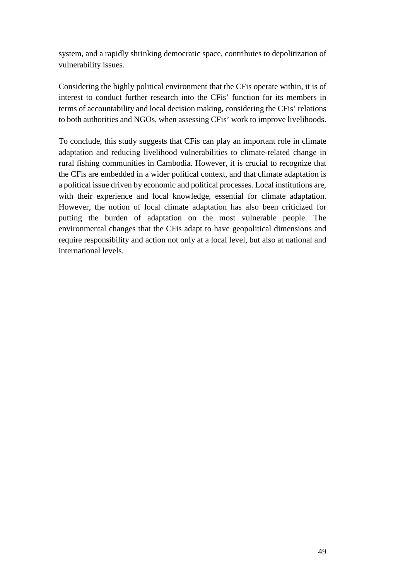system, and a rapidly shrinking democratic space, contributes to depolitization of vulnerability issues.

Considering the highly political environment that the CFis operate within, it is of interest to conduct further research into the CFis' function for its members in terms of accountability and local decision making, considering the CFis' relations to both authorities and NGOs, when assessing CFis' work to improve livelihoods.

To conclude, this study suggests that CFis can play an important role in climate adaptation and reducing livelihood vulnerabilities to climate-related change in rural fishing communities in Cambodia. However, it is crucial to recognize that the CFis are embedded in a wider political context, and that climate adaptation is a political issue driven by economic and political processes. Local institutions are, with their experience and local knowledge, essential for climate adaptation. However, the notion of local climate adaptation has also been criticized for putting the burden of adaptation on the most vulnerable people. The environmental changes that the CFis adapt to have geopolitical dimensions and require responsibility and action not only at a local level, but also at national and international levels.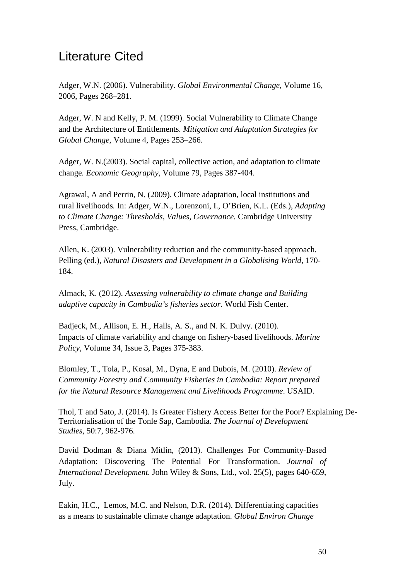## <span id="page-56-0"></span>Literature Cited

Adger, W.N. (2006). Vulnerability. *Global Environmental Change*, Volume 16, 2006, Pages 268–281.

Adger, W. N and Kelly, P. M. (1999). Social Vulnerability to Climate Change and the Architecture of Entitlements*. Mitigation and Adaptation Strategies for Global Change*, Volume 4, Pages 253–266.

Adger, W. N.(2003). Social capital, collective action, and adaptation to climate change*. Economic Geography*, Volume 79, Pages 387-404.

Agrawal, A and Perrin, N. (2009). Climate adaptation, local institutions and rural livelihoods*.* In: Adger, W.N., Lorenzoni, I., O'Brien, K.L. (Eds.), *Adapting to Climate Change: Thresholds, Values, Governance.* Cambridge University Press, Cambridge.

Allen, K. (2003). Vulnerability reduction and the community-based approach*.*  Pelling (ed.), *Natural Disasters and Development in a Globalising World*, 170- 184.

Almack, K. (2012). *Assessing vulnerability to climate change and Building adaptive capacity in Cambodia's fisheries sector.* World Fish Center.

Badjeck, M., Allison, E. H., Halls, A. S., and N. K. Dulvy. (2010). Impacts of climate variability and change on fishery-based livelihoods*. Marine Policy,* Volume 34, Issue 3, Pages 375-383.

Blomley, T., Tola, P., Kosal, M., Dyna, E and Dubois, M. (2010). *Review of Community Forestry and Community Fisheries in Cambodia: Report prepared for the Natural Resource Management and Livelihoods Programme*. USAID.

Thol, T and Sato, J. (2014). Is Greater Fishery Access Better for the Poor? Explaining De-Territorialisation of the Tonle Sap, Cambodia. *The Journal of Development Studies*, 50:7, 962-976.

David Dodman & Diana Mitlin, (2013). Challenges For Community-Based Adaptation: Discovering The Potential For Transformation. *Journal of International Development.* John Wiley & Sons, Ltd., vol. 25(5), pages 640-659, July.

Eakin, H.C., Lemos, M.C. and Nelson, D.R. (2014). Differentiating capacities as a means to sustainable climate change adaptation. *Global Environ Change*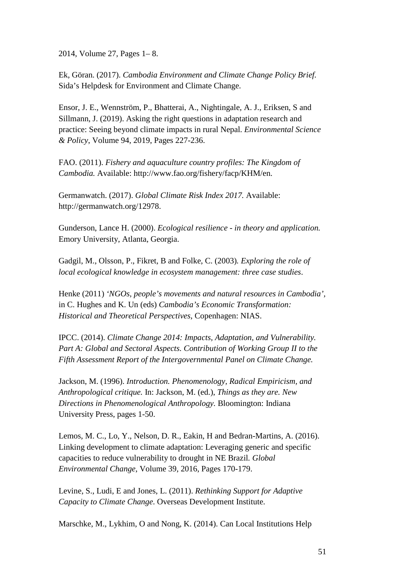2014, Volume 27, Pages 1– 8.

Ek, Göran. (2017). *Cambodia Environment and Climate Change Policy Brief.*  Sida's Helpdesk for Environment and Climate Change.

Ensor, J. E., Wennström, P., Bhatterai, A., Nightingale, A. J., Eriksen, S and Sillmann, J. (2019). Asking the right questions in adaptation research and practice: Seeing beyond climate impacts in rural Nepal. *Environmental Science & Policy*, Volume 94, 2019, Pages 227-236.

FAO. (2011). *Fishery and aquaculture country profiles: The Kingdom of Cambodia.* Available: http://www.fao.org/fishery/facp/KHM/en.

Germanwatch. (2017). *Global Climate Risk Index 2017.* Available: http://germanwatch.org/12978.

Gunderson, Lance H. (2000). *Ecological resilience - in theory and application.* Emory University, Atlanta, Georgia.

Gadgil, M., Olsson, P., Fikret, B and Folke, C. (2003)*. Exploring the role of local ecological knowledge in ecosystem management: three case studies*.

Henke (2011) *'NGOs, people's movements and natural resources in Cambodia',* in C. Hughes and K. Un (eds) *Cambodia's Economic Transformation: Historical and Theoretical Perspectives*, Copenhagen: NIAS.

IPCC. (2014). *Climate Change 2014: Impacts, Adaptation, and Vulnerability.*  Part A: Global and Sectoral Aspects. Contribution of Working Group II to the *Fifth Assessment Report of the Intergovernmental Panel on Climate Change.*

Jackson, M. (1996). *Introduction. Phenomenology, Radical Empiricism, and Anthropological critique.* In: Jackson, M. (ed.), *Things as they are. New Directions in Phenomenological Anthropology.* Bloomington: Indiana University Press, pages 1-50.

Lemos, M. C., Lo, Y., Nelson, D. R., Eakin, H and Bedran-Martins, A. (2016). Linking development to climate adaptation: Leveraging generic and specific capacities to reduce vulnerability to drought in NE Brazil*. Global Environmental Change*, Volume 39, 2016, Pages 170-179.

Levine, S., Ludi, E and Jones, L. (2011). *Rethinking Support for Adaptive Capacity to Climate Change*. Overseas Development Institute.

Marschke, M., Lykhim, O and Nong, K. (2014). Can Local Institutions Help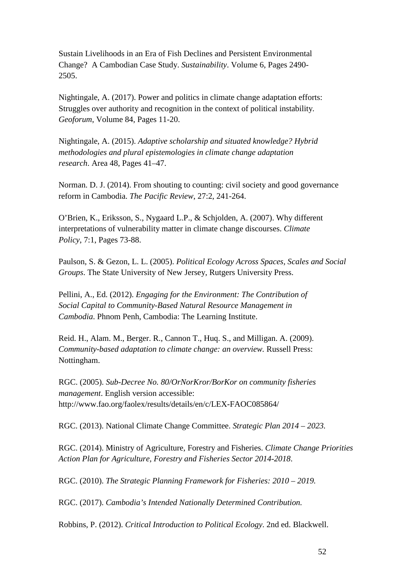Sustain Livelihoods in an Era of Fish Declines and Persistent Environmental Change? A Cambodian Case Study. *Sustainability*. Volume 6, Pages 2490- 2505.

Nightingale, A. (2017). Power and politics in climate change adaptation efforts: Struggles over authority and recognition in the context of political instability*. Geoforum*, Volume 84, Pages 11-20.

Nightingale, A. (2015). *Adaptive scholarship and situated knowledge? Hybrid methodologies and plural epistemologies in climate change adaptation research*. Area 48, Pages 41–47.

Norman. D. J. (2014). From shouting to counting: civil society and good governance reform in Cambodia. *The Pacific Review*, 27:2, 241-264.

O'Brien, K., Eriksson, S., Nygaard L.P., & Schjolden, A. (2007). Why different interpretations of vulnerability matter in climate change discourses. *Climate Policy*, 7:1, Pages 73-88.

Paulson, S. & Gezon, L. L. (2005). *Political Ecology Across Spaces, Scales and Social Groups*. The State University of New Jersey, Rutgers University Press.

Pellini, A., Ed. (2012). *Engaging for the Environment: The Contribution of Social Capital to Community-Based Natural Resource Management in Cambodia*. Phnom Penh, Cambodia: The Learning Institute.

Reid. H., Alam. M., Berger. R., Cannon T., Huq. S., and Milligan. A. (2009). *Community-based adaptation to climate change: an overview.* Russell Press: Nottingham.

RGC. (2005). *Sub-Decree No. 80/OrNorKror/BorKor on community fisheries management*. English version accessible: http://www.fao.org/faolex/results/details/en/c/LEX-FAOC085864/

RGC. (2013). National Climate Change Committee. *Strategic Plan 2014 – 2023.*

RGC. (2014). Ministry of Agriculture, Forestry and Fisheries. *Climate Change Priorities Action Plan for Agriculture, Forestry and Fisheries Sector 2014-2018*.

RGC. (2010). *The Strategic Planning Framework for Fisheries: 2010 – 2019.*

RGC. (2017). *Cambodia's Intended Nationally Determined Contribution.*

Robbins, P. (2012). *Critical Introduction to Political Ecology*. 2nd ed. Blackwell.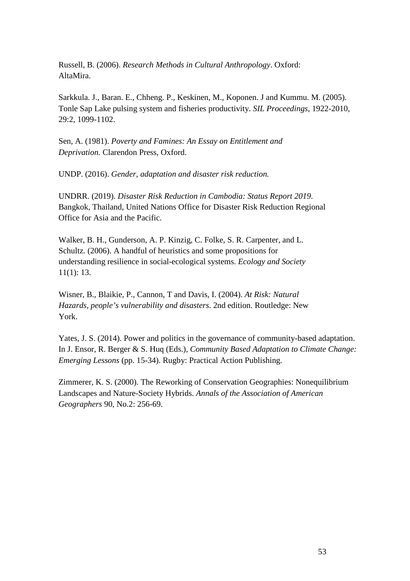Russell, B. (2006). *Research Methods in Cultural Anthropology*. Oxford: AltaMira.

Sarkkula. J., Baran. E., Chheng. P., Keskinen, M., Koponen. J and Kummu. M. (2005). Tonle Sap Lake pulsing system and fisheries productivity. *SIL Proceedings*, 1922-2010, 29:2, 1099-1102.

Sen, A. (1981). *Poverty and Famines: An Essay on Entitlement and Deprivation.* Clarendon Press, Oxford.

UNDP. (2016). *Gender, adaptation and disaster risk reduction.*

UNDRR. (2019). *Disaster Risk Reduction in Cambodia: Status Report 2019*. Bangkok, Thailand, United Nations Office for Disaster Risk Reduction Regional Office for Asia and the Pacific.

Walker, B. H., Gunderson, A. P. Kinzig, C. Folke, S. R. Carpenter, and L. Schultz. (2006). A handful of heuristics and some propositions for understanding resilience in social-ecological systems. *Ecology and Society* 11(1): 13.

Wisner, B., Blaikie, P., Cannon, T and Davis, I. (2004). *At Risk: Natural Hazards, people's vulnerability and disasters*. 2nd edition. Routledge: New York.

Yates, J. S. (2014). Power and politics in the governance of community-based adaptation. In J. Ensor, R. Berger & S. Huq (Eds.), *Community Based Adaptation to Climate Change: Emerging Lessons* (pp. 15-34). Rugby: Practical Action Publishing.

Zimmerer, K. S. (2000). The Reworking of Conservation Geographies: Nonequilibrium Landscapes and Nature-Society Hybrids. *Annals of the Association of American Geographers* 90, No.2: 256-69.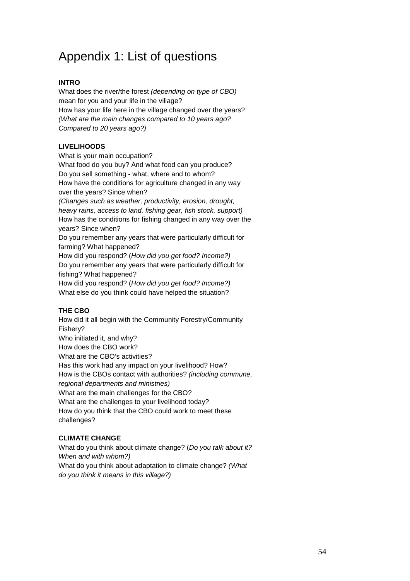# <span id="page-60-0"></span>Appendix 1: List of questions

#### **INTRO**

What does the river/the forest *(depending on type of CBO)* mean for you and your life in the village? How has your life here in the village changed over the years? *(What are the main changes compared to 10 years ago? Compared to 20 years ago?)*

#### **LIVELIHOODS**

What is your main occupation? What food do you buy? And what food can you produce? Do you sell something - what, where and to whom? How have the conditions for agriculture changed in any way over the years? Since when? *(Changes such as weather, productivity, erosion, drought, heavy rains, access to land, fishing gear, fish stock, support)*  How has the conditions for fishing changed in any way over the years? Since when? Do you remember any years that were particularly difficult for farming? What happened? How did you respond? (*How did you get food? Income?)* Do you remember any years that were particularly difficult for fishing? What happened? How did you respond? (*How did you get food? Income?)*

What else do you think could have helped the situation?

#### **THE CBO**

How did it all begin with the Community Forestry/Community Fishery? Who initiated it, and why? How does the CBO work? What are the CBO's activities? Has this work had any impact on your livelihood? How? How is the CBOs contact with authorities? *(including commune, regional departments and ministries)* What are the main challenges for the CBO? What are the challenges to your livelihood today? How do you think that the CBO could work to meet these challenges?

#### **CLIMATE CHANGE**

What do you think about climate change? (*Do you talk about it? When and with whom?)* What do you think about adaptation to climate change? *(What do you think it means in this village?)*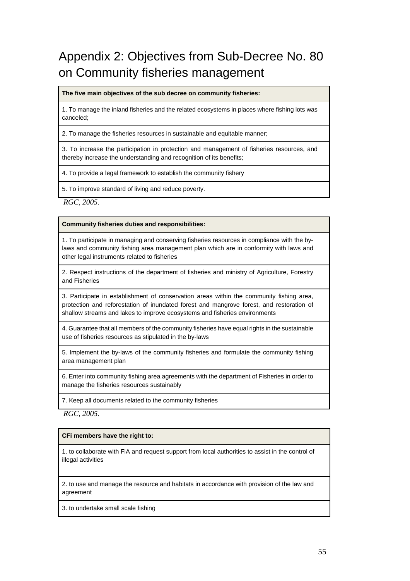# <span id="page-61-0"></span>Appendix 2: Objectives from Sub-Decree No. 80 on Community fisheries management

**The five main objectives of the sub decree on community fisheries:**

1. To manage the inland fisheries and the related ecosystems in places where fishing lots was canceled;

2. To manage the fisheries resources in sustainable and equitable manner;

3. To increase the participation in protection and management of fisheries resources, and thereby increase the understanding and recognition of its benefits;

4. To provide a legal framework to establish the community fishery

5. To improve standard of living and reduce poverty.

*RGC, 2005.*

**Community fisheries duties and responsibilities:**

1. To participate in managing and conserving fisheries resources in compliance with the bylaws and community fishing area management plan which are in conformity with laws and other legal instruments related to fisheries

2. Respect instructions of the department of fisheries and ministry of Agriculture, Forestry and Fisheries

3. Participate in establishment of conservation areas within the community fishing area, protection and reforestation of inundated forest and mangrove forest, and restoration of shallow streams and lakes to improve ecosystems and fisheries environments

4. Guarantee that all members of the community fisheries have equal rights in the sustainable use of fisheries resources as stipulated in the by-laws

5. Implement the by-laws of the community fisheries and formulate the community fishing area management plan

6. Enter into community fishing area agreements with the department of Fisheries in order to manage the fisheries resources sustainably

7. Keep all documents related to the community fisheries

*RGC, 2005.* 

**CFi members have the right to:**

1. to collaborate with FiA and request support from local authorities to assist in the control of illegal activities

2. to use and manage the resource and habitats in accordance with provision of the law and agreement

3. to undertake small scale fishing